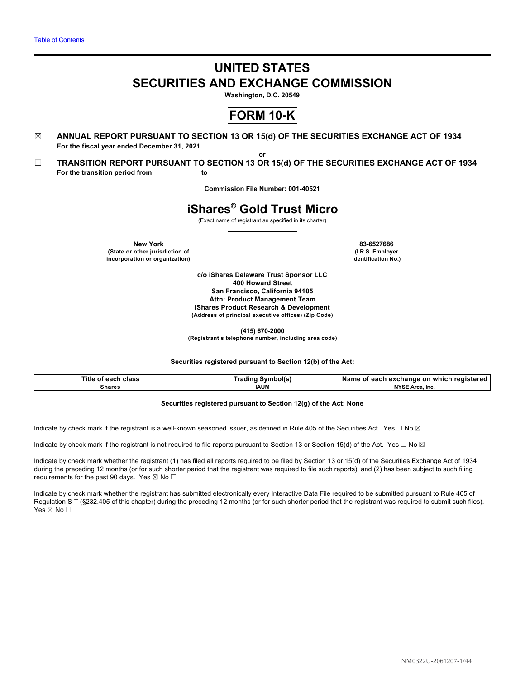# **UNITED STATES SECURITIES AND EXCHANGE COMMISSION**

**Washington, D.C. 20549**

# **FORM 10-K**

- ☒ **ANNUAL REPORT PURSUANT TO SECTION 13 OR 15(d) OF THE SECURITIES EXCHANGE ACT OF 1934 For the fiscal year ended December 31, 2021**
- ☐ **TRANSITION REPORT PURSUANT TO SECTION 13 OR 15(d) OF THE SECURITIES EXCHANGE ACT OF 1934 For the transition period from to**

**Commission File Number: 001-40521**

**or**

# **iShares® Gold Trust Micro**

(Exact name of registrant as specified in its charter)

**New York 83-6527686 (State or other jurisdiction of incorporation or organization)**

**(I.R.S. Employer Identification No.)**

**c/o iShares Delaware Trust Sponsor LLC 400 Howard Street San Francisco, California 94105 Attn: Product Management Team iShares Product Research & Development (Address of principal executive offices) (Zip Code)**

**(415) 670-2000**

**(Registrant's telephone number, including area code)**

**Securities registered pursuant to Section 12(b) of the Act:**

| Title<br>class<br>∶each<br>ΟŤ | Svmbol(s)<br>radina. | i exchange on which.<br>Name of each<br>reaistered |
|-------------------------------|----------------------|----------------------------------------------------|
| Shares                        | <b>IAUM</b>          | <b>NYSE</b><br>Arca.<br>. Inc                      |

#### **Securities registered pursuant to Section 12(g) of the Act: None**

Indicate by check mark if the registrant is a well-known seasoned issuer, as defined in Rule 405 of the Securities Act. Yes  $\Box$  No  $\boxtimes$ 

Indicate by check mark if the registrant is not required to file reports pursuant to Section 13 or Section 15(d) of the Act. Yes  $\Box$  No  $\boxtimes$ 

Indicate by check mark whether the registrant (1) has filed all reports required to be filed by Section 13 or 15(d) of the Securities Exchange Act of 1934 during the preceding 12 months (or for such shorter period that the registrant was required to file such reports), and (2) has been subject to such filing requirements for the past 90 days. Yes  $\boxtimes$  No $\Box$ 

Indicate by check mark whether the registrant has submitted electronically every Interactive Data File required to be submitted pursuant to Rule 405 of Regulation S-T (§232.405 of this chapter) during the preceding 12 months (or for such shorter period that the registrant was required to submit such files). Yes ⊠ No □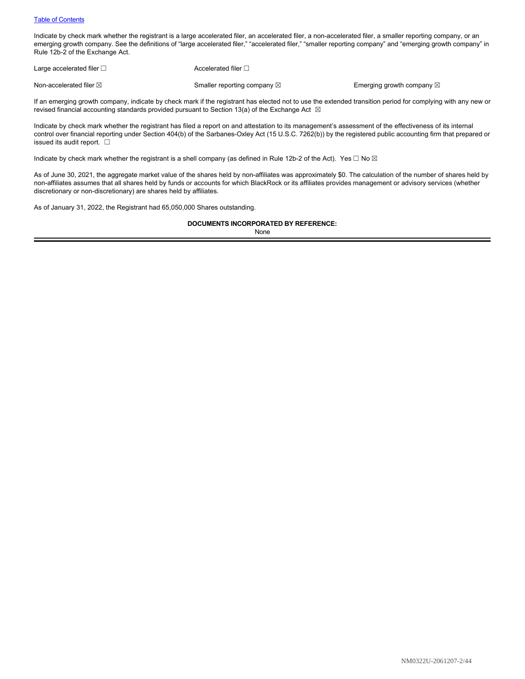# **[Table of Contents](#page-3-0)**

Indicate by check mark whether the registrant is a large accelerated filer, an accelerated filer, a non-accelerated filer, a smaller reporting company, or an emerging growth company. See the definitions of "large accelerated filer," "accelerated filer," "smaller reporting company" and "emerging growth company" in Rule 12b-2 of the Exchange Act.

Large accelerated filer □ <br>
Accelerated filer □

Non-accelerated filer ⊠ **Smaller reporting company** ⊠ Benerging growth company **⊠** Emerging growth company ⊠

If an emerging growth company, indicate by check mark if the registrant has elected not to use the extended transition period for complying with any new or revised financial accounting standards provided pursuant to Section 13(a) of the Exchange Act  $\boxtimes$ 

Indicate by check mark whether the registrant has filed a report on and attestation to its management's assessment of the effectiveness of its internal control over financial reporting under Section 404(b) of the Sarbanes-Oxley Act (15 U.S.C. 7262(b)) by the registered public accounting firm that prepared or issued its audit report.  $\Box$ 

Indicate by check mark whether the registrant is a shell company (as defined in Rule 12b-2 of the Act). Yes  $\Box$  No  $\boxtimes$ 

As of June 30, 2021, the aggregate market value of the shares held by non-affiliates was approximately \$0. The calculation of the number of shares held by non-affiliates assumes that all shares held by funds or accounts for which BlackRock or its affiliates provides management or advisory services (whether discretionary or non-discretionary) are shares held by affiliates.

As of January 31, 2022, the Registrant had 65,050,000 Shares outstanding.

#### **DOCUMENTS INCORPORATED BY REFERENCE:**

None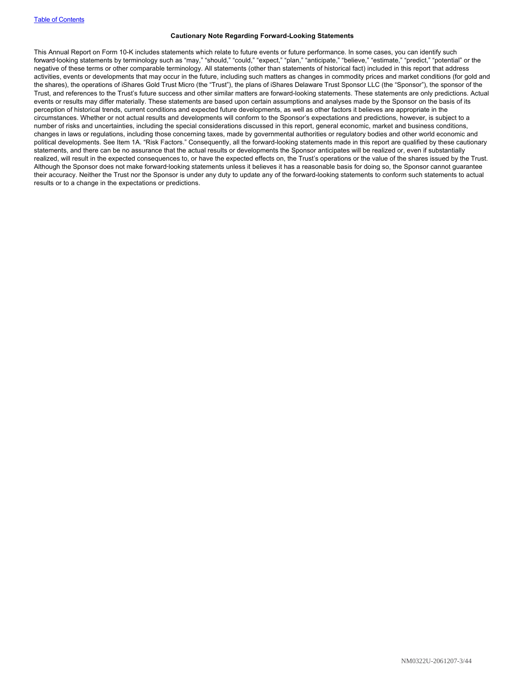#### **Cautionary Note Regarding Forward-Looking Statements**

This Annual Report on Form 10-K includes statements which relate to future events or future performance. In some cases, you can identify such forward-looking statements by terminology such as "may," "should," "could," "expect," "plan," "anticipate," "believe," "estimate," "predict," "potential" or the negative of these terms or other comparable terminology. All statements (other than statements of historical fact) included in this report that address activities, events or developments that may occur in the future, including such matters as changes in commodity prices and market conditions (for gold and the shares), the operations of iShares Gold Trust Micro (the "Trust"), the plans of iShares Delaware Trust Sponsor LLC (the "Sponsor"), the sponsor of the Trust, and references to the Trust's future success and other similar matters are forward-looking statements. These statements are only predictions. Actual events or results may differ materially. These statements are based upon certain assumptions and analyses made by the Sponsor on the basis of its perception of historical trends, current conditions and expected future developments, as well as other factors it believes are appropriate in the circumstances. Whether or not actual results and developments will conform to the Sponsor's expectations and predictions, however, is subject to a number of risks and uncertainties, including the special considerations discussed in this report, general economic, market and business conditions, changes in laws or regulations, including those concerning taxes, made by governmental authorities or regulatory bodies and other world economic and political developments. See Item 1A. "Risk Factors." Consequently, all the forward-looking statements made in this report are qualified by these cautionary statements, and there can be no assurance that the actual results or developments the Sponsor anticipates will be realized or, even if substantially realized, will result in the expected consequences to, or have the expected effects on, the Trust's operations or the value of the shares issued by the Trust. Although the Sponsor does not make forward-looking statements unless it believes it has a reasonable basis for doing so, the Sponsor cannot guarantee their accuracy. Neither the Trust nor the Sponsor is under any duty to update any of the forward-looking statements to conform such statements to actual results or to a change in the expectations or predictions.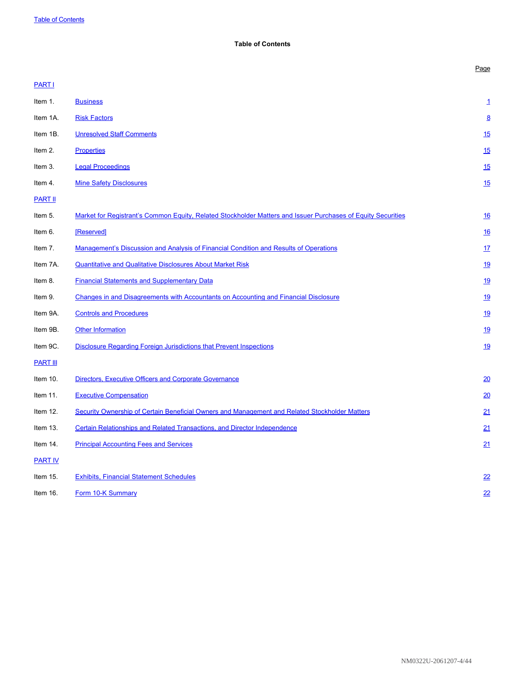<span id="page-3-0"></span>

|                 |                                                                                                              | Page            |
|-----------------|--------------------------------------------------------------------------------------------------------------|-----------------|
| <b>PART I</b>   |                                                                                                              |                 |
| Item 1.         | <b>Business</b>                                                                                              | $\overline{1}$  |
| Item 1A.        | <b>Risk Factors</b>                                                                                          | $\underline{8}$ |
| Item 1B.        | <b>Unresolved Staff Comments</b>                                                                             | 15              |
| Item 2.         | <b>Properties</b>                                                                                            | 15              |
| Item 3.         | <b>Legal Proceedings</b>                                                                                     | 15              |
| Item 4.         | <b>Mine Safety Disclosures</b>                                                                               | 15              |
| <b>PART II</b>  |                                                                                                              |                 |
| Item 5.         | Market for Registrant's Common Equity, Related Stockholder Matters and Issuer Purchases of Equity Securities | 16              |
| Item 6.         | [Reserved]                                                                                                   | 16              |
| Item 7.         | Management's Discussion and Analysis of Financial Condition and Results of Operations                        | 17              |
| Item 7A.        | <b>Quantitative and Qualitative Disclosures About Market Risk</b>                                            | 19              |
| Item 8.         | <b>Financial Statements and Supplementary Data</b>                                                           | <u>19</u>       |
| Item 9.         | Changes in and Disagreements with Accountants on Accounting and Financial Disclosure                         | <u>19</u>       |
| Item 9A.        | <b>Controls and Procedures</b>                                                                               | <u>19</u>       |
| Item 9B.        | <b>Other Information</b>                                                                                     | 19              |
| Item 9C.        | Disclosure Regarding Foreign Jurisdictions that Prevent Inspections                                          | 19              |
| <b>PART III</b> |                                                                                                              |                 |
| Item 10.        | <b>Directors, Executive Officers and Corporate Governance</b>                                                | 20              |
| Item 11.        | <b>Executive Compensation</b>                                                                                | <u>20</u>       |
| Item 12.        | Security Ownership of Certain Beneficial Owners and Management and Related Stockholder Matters               | 21              |
| Item 13.        | Certain Relationships and Related Transactions, and Director Independence                                    | 21              |
| Item 14.        | <b>Principal Accounting Fees and Services</b>                                                                | 21              |
| <b>PART IV</b>  |                                                                                                              |                 |
| Item 15.        | <b>Exhibits, Financial Statement Schedules</b>                                                               | 22              |
| Item 16.        | Form 10-K Summary                                                                                            | 22              |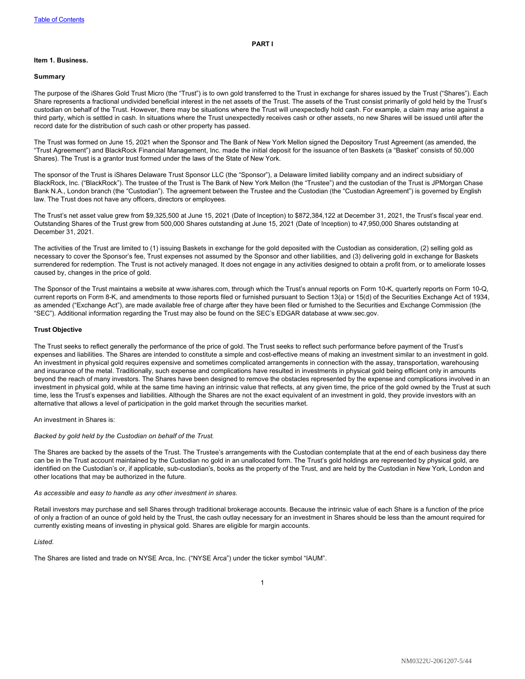## <span id="page-4-1"></span><span id="page-4-0"></span>**Item 1. Business.**

#### **Summary**

The purpose of the iShares Gold Trust Micro (the "Trust") is to own gold transferred to the Trust in exchange for shares issued by the Trust ("Shares"). Each Share represents a fractional undivided beneficial interest in the net assets of the Trust. The assets of the Trust consist primarily of gold held by the Trust's custodian on behalf of the Trust. However, there may be situations where the Trust will unexpectedly hold cash. For example, a claim may arise against a third party, which is settled in cash. In situations where the Trust unexpectedly receives cash or other assets, no new Shares will be issued until after the record date for the distribution of such cash or other property has passed.

The Trust was formed on June 15, 2021 when the Sponsor and The Bank of New York Mellon signed the Depository Trust Agreement (as amended, the "Trust Agreement") and BlackRock Financial Management, Inc. made the initial deposit for the issuance of ten Baskets (a "Basket" consists of 50,000 Shares). The Trust is a grantor trust formed under the laws of the State of New York.

The sponsor of the Trust is iShares Delaware Trust Sponsor LLC (the "Sponsor"), a Delaware limited liability company and an indirect subsidiary of BlackRock, Inc. ("BlackRock"). The trustee of the Trust is The Bank of New York Mellon (the "Trustee") and the custodian of the Trust is JPMorgan Chase Bank N.A., London branch (the "Custodian"). The agreement between the Trustee and the Custodian (the "Custodian Agreement") is governed by English law. The Trust does not have any officers, directors or employees.

The Trust's net asset value grew from \$9,325,500 at June 15, 2021 (Date of Inception) to \$872,384,122 at December 31, 2021, the Trust's fiscal year end. Outstanding Shares of the Trust grew from 500,000 Shares outstanding at June 15, 2021 (Date of Inception) to 47,950,000 Shares outstanding at December 31, 2021.

The activities of the Trust are limited to (1) issuing Baskets in exchange for the gold deposited with the Custodian as consideration, (2) selling gold as necessary to cover the Sponsor's fee, Trust expenses not assumed by the Sponsor and other liabilities, and (3) delivering gold in exchange for Baskets surrendered for redemption. The Trust is not actively managed. It does not engage in any activities designed to obtain a profit from, or to ameliorate losses caused by, changes in the price of gold.

The Sponsor of the Trust maintains a website at www.ishares.com, through which the Trust's annual reports on Form 10-K, quarterly reports on Form 10-Q, current reports on Form 8-K, and amendments to those reports filed or furnished pursuant to Section 13(a) or 15(d) of the Securities Exchange Act of 1934, as amended ("Exchange Act"), are made available free of charge after they have been filed or furnished to the Securities and Exchange Commission (the "SEC"). Additional information regarding the Trust may also be found on the SEC's EDGAR database at www.sec.gov.

#### **Trust Objective**

The Trust seeks to reflect generally the performance of the price of gold. The Trust seeks to reflect such performance before payment of the Trust's expenses and liabilities. The Shares are intended to constitute a simple and cost-effective means of making an investment similar to an investment in gold. An investment in physical gold requires expensive and sometimes complicated arrangements in connection with the assay, transportation, warehousing and insurance of the metal. Traditionally, such expense and complications have resulted in investments in physical gold being efficient only in amounts beyond the reach of many investors. The Shares have been designed to remove the obstacles represented by the expense and complications involved in an investment in physical gold, while at the same time having an intrinsic value that reflects, at any given time, the price of the gold owned by the Trust at such time, less the Trust's expenses and liabilities. Although the Shares are not the exact equivalent of an investment in gold, they provide investors with an alternative that allows a level of participation in the gold market through the securities market.

#### An investment in Shares is:

#### *Backed by gold held by the Custodian on behalf of the Trust.*

The Shares are backed by the assets of the Trust. The Trustee's arrangements with the Custodian contemplate that at the end of each business day there can be in the Trust account maintained by the Custodian no gold in an unallocated form. The Trust's gold holdings are represented by physical gold, are identified on the Custodian's or, if applicable, sub-custodian's, books as the property of the Trust, and are held by the Custodian in New York, London and other locations that may be authorized in the future.

#### *As accessible and easy to handle as any other investment in shares.*

Retail investors may purchase and sell Shares through traditional brokerage accounts. Because the intrinsic value of each Share is a function of the price of only a fraction of an ounce of gold held by the Trust, the cash outlay necessary for an investment in Shares should be less than the amount required for currently existing means of investing in physical gold. Shares are eligible for margin accounts.

#### *Listed.*

The Shares are listed and trade on NYSE Arca, Inc. ("NYSE Arca") under the ticker symbol "IAUM".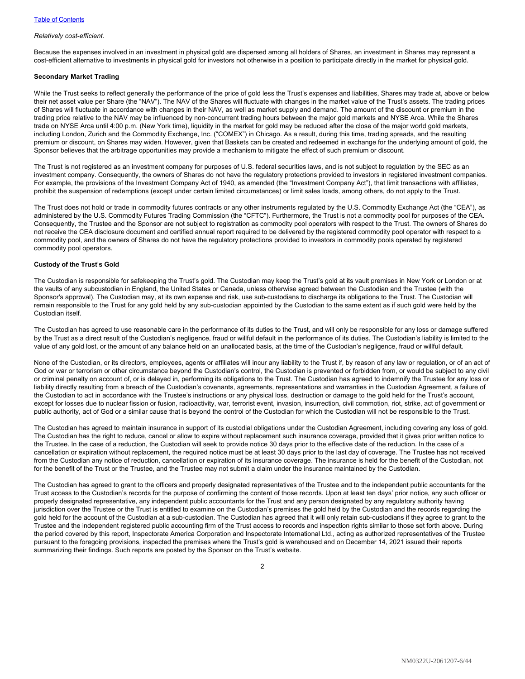#### *Relatively cost-efficient.*

Because the expenses involved in an investment in physical gold are dispersed among all holders of Shares, an investment in Shares may represent a cost-efficient alternative to investments in physical gold for investors not otherwise in a position to participate directly in the market for physical gold.

#### **Secondary Market Trading**

While the Trust seeks to reflect generally the performance of the price of gold less the Trust's expenses and liabilities, Shares may trade at, above or below their net asset value per Share (the "NAV"). The NAV of the Shares will fluctuate with changes in the market value of the Trust's assets. The trading prices of Shares will fluctuate in accordance with changes in their NAV, as well as market supply and demand. The amount of the discount or premium in the trading price relative to the NAV may be influenced by non-concurrent trading hours between the major gold markets and NYSE Arca. While the Shares trade on NYSE Arca until 4:00 p.m. (New York time), liquidity in the market for gold may be reduced after the close of the major world gold markets, including London, Zurich and the Commodity Exchange, Inc. ("COMEX") in Chicago. As a result, during this time, trading spreads, and the resulting premium or discount, on Shares may widen. However, given that Baskets can be created and redeemed in exchange for the underlying amount of gold, the Sponsor believes that the arbitrage opportunities may provide a mechanism to mitigate the effect of such premium or discount.

The Trust is not registered as an investment company for purposes of U.S. federal securities laws, and is not subject to regulation by the SEC as an investment company. Consequently, the owners of Shares do not have the regulatory protections provided to investors in registered investment companies. For example, the provisions of the Investment Company Act of 1940, as amended (the "Investment Company Act"), that limit transactions with affiliates, prohibit the suspension of redemptions (except under certain limited circumstances) or limit sales loads, among others, do not apply to the Trust.

The Trust does not hold or trade in commodity futures contracts or any other instruments regulated by the U.S. Commodity Exchange Act (the "CEA"), as administered by the U.S. Commodity Futures Trading Commission (the "CFTC"). Furthermore, the Trust is not a commodity pool for purposes of the CEA. Consequently, the Trustee and the Sponsor are not subject to registration as commodity pool operators with respect to the Trust. The owners of Shares do not receive the CEA disclosure document and certified annual report required to be delivered by the registered commodity pool operator with respect to a commodity pool, and the owners of Shares do not have the regulatory protections provided to investors in commodity pools operated by registered commodity pool operators.

#### **Custody of the Trust**'**s Gold**

The Custodian is responsible for safekeeping the Trust's gold. The Custodian may keep the Trust's gold at its vault premises in New York or London or at the vaults of any subcustodian in England, the United States or Canada, unless otherwise agreed between the Custodian and the Trustee (with the Sponsor's approval). The Custodian may, at its own expense and risk, use sub-custodians to discharge its obligations to the Trust. The Custodian will remain responsible to the Trust for any gold held by any sub-custodian appointed by the Custodian to the same extent as if such gold were held by the Custodian itself.

The Custodian has agreed to use reasonable care in the performance of its duties to the Trust, and will only be responsible for any loss or damage suffered by the Trust as a direct result of the Custodian's negligence, fraud or willful default in the performance of its duties. The Custodian's liability is limited to the value of any gold lost, or the amount of any balance held on an unallocated basis, at the time of the Custodian's negligence, fraud or willful default.

None of the Custodian, or its directors, employees, agents or affiliates will incur any liability to the Trust if, by reason of any law or regulation, or of an act of God or war or terrorism or other circumstance beyond the Custodian's control, the Custodian is prevented or forbidden from, or would be subject to any civil or criminal penalty on account of, or is delayed in, performing its obligations to the Trust. The Custodian has agreed to indemnify the Trustee for any loss or liability directly resulting from a breach of the Custodian's covenants, agreements, representations and warranties in the Custodian Agreement, a failure of the Custodian to act in accordance with the Trustee's instructions or any physical loss, destruction or damage to the gold held for the Trust's account, except for losses due to nuclear fission or fusion, radioactivity, war, terrorist event, invasion, insurrection, civil commotion, riot, strike, act of government or public authority, act of God or a similar cause that is beyond the control of the Custodian for which the Custodian will not be responsible to the Trust.

The Custodian has agreed to maintain insurance in support of its custodial obligations under the Custodian Agreement, including covering any loss of gold. The Custodian has the right to reduce, cancel or allow to expire without replacement such insurance coverage, provided that it gives prior written notice to the Trustee. In the case of a reduction, the Custodian will seek to provide notice 30 days prior to the effective date of the reduction. In the case of a cancellation or expiration without replacement, the required notice must be at least 30 days prior to the last day of coverage. The Trustee has not received from the Custodian any notice of reduction, cancellation or expiration of its insurance coverage. The insurance is held for the benefit of the Custodian, not for the benefit of the Trust or the Trustee, and the Trustee may not submit a claim under the insurance maintained by the Custodian.

The Custodian has agreed to grant to the officers and properly designated representatives of the Trustee and to the independent public accountants for the Trust access to the Custodian's records for the purpose of confirming the content of those records. Upon at least ten days' prior notice, any such officer or properly designated representative, any independent public accountants for the Trust and any person designated by any regulatory authority having jurisdiction over the Trustee or the Trust is entitled to examine on the Custodian's premises the gold held by the Custodian and the records regarding the gold held for the account of the Custodian at a sub-custodian. The Custodian has agreed that it will only retain sub-custodians if they agree to grant to the Trustee and the independent registered public accounting firm of the Trust access to records and inspection rights similar to those set forth above. During the period covered by this report, Inspectorate America Corporation and Inspectorate International Ltd., acting as authorized representatives of the Trustee pursuant to the foregoing provisions, inspected the premises where the Trust's gold is warehoused and on December 14, 2021 issued their reports summarizing their findings. Such reports are posted by the Sponsor on the Trust's website.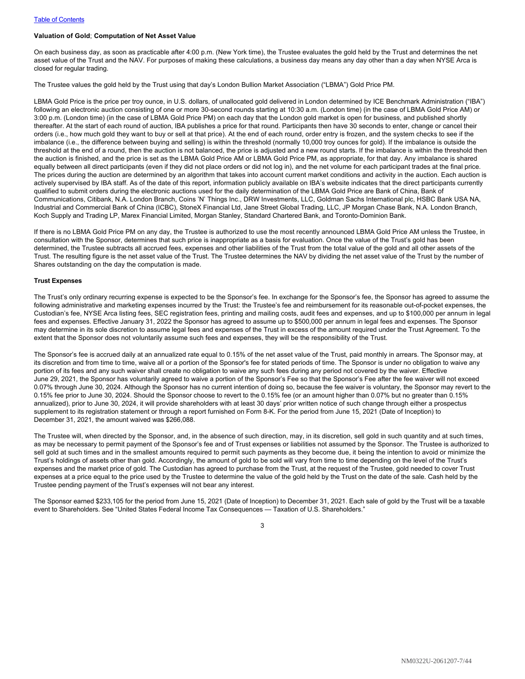#### **Valuation of Gold**; **Computation of Net Asset Value**

On each business day, as soon as practicable after 4:00 p.m. (New York time), the Trustee evaluates the gold held by the Trust and determines the net asset value of the Trust and the NAV. For purposes of making these calculations, a business day means any day other than a day when NYSE Arca is closed for regular trading.

The Trustee values the gold held by the Trust using that day's London Bullion Market Association ("LBMA") Gold Price PM.

LBMA Gold Price is the price per troy ounce, in U.S. dollars, of unallocated gold delivered in London determined by ICE Benchmark Administration ("IBA") following an electronic auction consisting of one or more 30-second rounds starting at 10:30 a.m. (London time) (in the case of LBMA Gold Price AM) or 3:00 p.m. (London time) (in the case of LBMA Gold Price PM) on each day that the London gold market is open for business, and published shortly thereafter. At the start of each round of auction, IBA publishes a price for that round. Participants then have 30 seconds to enter, change or cancel their orders (i.e., how much gold they want to buy or sell at that price). At the end of each round, order entry is frozen, and the system checks to see if the imbalance (i.e., the difference between buying and selling) is within the threshold (normally 10,000 troy ounces for gold). If the imbalance is outside the threshold at the end of a round, then the auction is not balanced, the price is adjusted and a new round starts. If the imbalance is within the threshold then the auction is finished, and the price is set as the LBMA Gold Price AM or LBMA Gold Price PM, as appropriate, for that day. Any imbalance is shared equally between all direct participants (even if they did not place orders or did not log in), and the net volume for each participant trades at the final price. The prices during the auction are determined by an algorithm that takes into account current market conditions and activity in the auction. Each auction is actively supervised by IBA staff. As of the date of this report, information publicly available on IBA's website indicates that the direct participants currently qualified to submit orders during the electronic auctions used for the daily determination of the LBMA Gold Price are Bank of China, Bank of Communications, Citibank, N.A. London Branch, Coins 'N' Things Inc., DRW Investments, LLC, Goldman Sachs International plc, HSBC Bank USA NA, Industrial and Commercial Bank of China (ICBC), StoneX Financial Ltd, Jane Street Global Trading, LLC, JP Morgan Chase Bank, N.A. London Branch, Koch Supply and Trading LP, Marex Financial Limited, Morgan Stanley, Standard Chartered Bank, and Toronto-Dominion Bank.

If there is no LBMA Gold Price PM on any day, the Trustee is authorized to use the most recently announced LBMA Gold Price AM unless the Trustee, in consultation with the Sponsor, determines that such price is inappropriate as a basis for evaluation. Once the value of the Trust's gold has been determined, the Trustee subtracts all accrued fees, expenses and other liabilities of the Trust from the total value of the gold and all other assets of the Trust. The resulting figure is the net asset value of the Trust. The Trustee determines the NAV by dividing the net asset value of the Trust by the number of Shares outstanding on the day the computation is made.

# **Trust Expenses**

The Trust's only ordinary recurring expense is expected to be the Sponsor's fee. In exchange for the Sponsor's fee, the Sponsor has agreed to assume the following administrative and marketing expenses incurred by the Trust: the Trustee's fee and reimbursement for its reasonable out-of-pocket expenses, the Custodian's fee, NYSE Arca listing fees, SEC registration fees, printing and mailing costs, audit fees and expenses, and up to \$100,000 per annum in legal fees and expenses. Effective January 31, 2022 the Sponsor has agreed to assume up to \$500,000 per annum in legal fees and expenses. The Sponsor may determine in its sole discretion to assume legal fees and expenses of the Trust in excess of the amount required under the Trust Agreement. To the extent that the Sponsor does not voluntarily assume such fees and expenses, they will be the responsibility of the Trust.

The Sponsor's fee is accrued daily at an annualized rate equal to 0.15% of the net asset value of the Trust, paid monthly in arrears. The Sponsor may, at its discretion and from time to time, waive all or a portion of the Sponsor's fee for stated periods of time. The Sponsor is under no obligation to waive any portion of its fees and any such waiver shall create no obligation to waive any such fees during any period not covered by the waiver. Effective June 29, 2021, the Sponsor has voluntarily agreed to waive a portion of the Sponsor's Fee so that the Sponsor's Fee after the fee waiver will not exceed 0.07% through June 30, 2024. Although the Sponsor has no current intention of doing so, because the fee waiver is voluntary, the Sponsor may revert to the 0.15% fee prior to June 30, 2024. Should the Sponsor choose to revert to the 0.15% fee (or an amount higher than 0.07% but no greater than 0.15% annualized), prior to June 30, 2024, it will provide shareholders with at least 30 days' prior written notice of such change through either a prospectus supplement to its registration statement or through a report furnished on Form 8-K. For the period from June 15, 2021 (Date of Inception) to December 31, 2021, the amount waived was \$266,088.

The Trustee will, when directed by the Sponsor, and, in the absence of such direction, may, in its discretion, sell gold in such quantity and at such times, as may be necessary to permit payment of the Sponsor's fee and of Trust expenses or liabilities not assumed by the Sponsor. The Trustee is authorized to sell gold at such times and in the smallest amounts required to permit such payments as they become due, it being the intention to avoid or minimize the Trust's holdings of assets other than gold. Accordingly, the amount of gold to be sold will vary from time to time depending on the level of the Trust's expenses and the market price of gold. The Custodian has agreed to purchase from the Trust, at the request of the Trustee, gold needed to cover Trust expenses at a price equal to the price used by the Trustee to determine the value of the gold held by the Trust on the date of the sale. Cash held by the Trustee pending payment of the Trust's expenses will not bear any interest.

The Sponsor earned \$233,105 for the period from June 15, 2021 (Date of Inception) to December 31, 2021. Each sale of gold by the Trust will be a taxable event to Shareholders. See "United States Federal Income Tax Consequences — Taxation of U.S. Shareholders."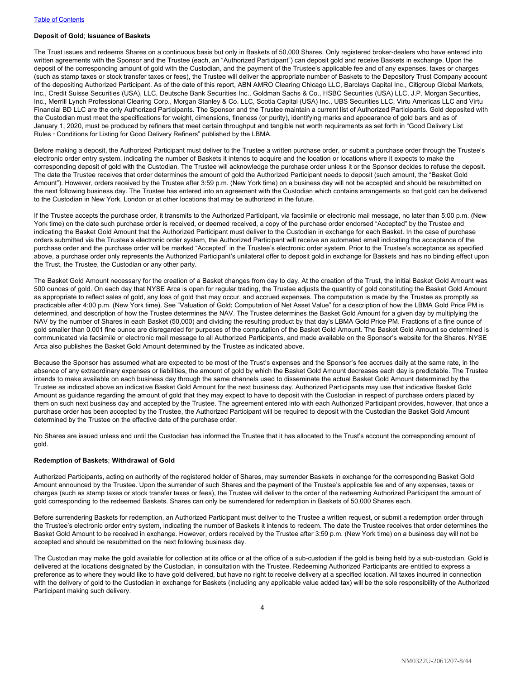# **Deposit of Gold**; **Issuance of Baskets**

The Trust issues and redeems Shares on a continuous basis but only in Baskets of 50,000 Shares. Only registered broker-dealers who have entered into written agreements with the Sponsor and the Trustee (each, an "Authorized Participant") can deposit gold and receive Baskets in exchange. Upon the deposit of the corresponding amount of gold with the Custodian, and the payment of the Trustee's applicable fee and of any expenses, taxes or charges (such as stamp taxes or stock transfer taxes or fees), the Trustee will deliver the appropriate number of Baskets to the Depository Trust Company account of the depositing Authorized Participant. As of the date of this report, ABN AMRO Clearing Chicago LLC, Barclays Capital Inc., Citigroup Global Markets, Inc., Credit Suisse Securities (USA), LLC, Deutsche Bank Securities Inc., Goldman Sachs & Co., HSBC Securities (USA) LLC, J.P. Morgan Securities, Inc., Merrill Lynch Professional Clearing Corp., Morgan Stanley & Co. LLC, Scotia Capital (USA) Inc., UBS Securities LLC, Virtu Americas LLC and Virtu Financial BD LLC are the only Authorized Participants. The Sponsor and the Trustee maintain a current list of Authorized Participants. Gold deposited with the Custodian must meet the specifications for weight, dimensions, fineness (or purity), identifying marks and appearance of gold bars and as of January 1, 2020, must be produced by refiners that meet certain throughput and tangible net worth requirements as set forth in "Good Delivery List Rules ‑ Conditions for Listing for Good Delivery Refiners" published by the LBMA.

Before making a deposit, the Authorized Participant must deliver to the Trustee a written purchase order, or submit a purchase order through the Trustee's electronic order entry system, indicating the number of Baskets it intends to acquire and the location or locations where it expects to make the corresponding deposit of gold with the Custodian. The Trustee will acknowledge the purchase order unless it or the Sponsor decides to refuse the deposit. The date the Trustee receives that order determines the amount of gold the Authorized Participant needs to deposit (such amount, the "Basket Gold Amount"). However, orders received by the Trustee after 3:59 p.m. (New York time) on a business day will not be accepted and should be resubmitted on the next following business day. The Trustee has entered into an agreement with the Custodian which contains arrangements so that gold can be delivered to the Custodian in New York, London or at other locations that may be authorized in the future.

If the Trustee accepts the purchase order, it transmits to the Authorized Participant, via facsimile or electronic mail message, no later than 5:00 p.m. (New York time) on the date such purchase order is received, or deemed received, a copy of the purchase order endorsed "Accepted" by the Trustee and indicating the Basket Gold Amount that the Authorized Participant must deliver to the Custodian in exchange for each Basket. In the case of purchase orders submitted via the Trustee's electronic order system, the Authorized Participant will receive an automated email indicating the acceptance of the purchase order and the purchase order will be marked "Accepted" in the Trustee's electronic order system. Prior to the Trustee's acceptance as specified above, a purchase order only represents the Authorized Participant's unilateral offer to deposit gold in exchange for Baskets and has no binding effect upon the Trust, the Trustee, the Custodian or any other party.

The Basket Gold Amount necessary for the creation of a Basket changes from day to day. At the creation of the Trust, the initial Basket Gold Amount was 500 ounces of gold. On each day that NYSE Arca is open for regular trading, the Trustee adjusts the quantity of gold constituting the Basket Gold Amount as appropriate to reflect sales of gold, any loss of gold that may occur, and accrued expenses. The computation is made by the Trustee as promptly as practicable after 4:00 p.m. (New York time). See "Valuation of Gold; Computation of Net Asset Value" for a description of how the LBMA Gold Price PM is determined, and description of how the Trustee determines the NAV. The Trustee determines the Basket Gold Amount for a given day by multiplying the NAV by the number of Shares in each Basket (50,000) and dividing the resulting product by that day's LBMA Gold Price PM. Fractions of a fine ounce of gold smaller than 0.001 fine ounce are disregarded for purposes of the computation of the Basket Gold Amount. The Basket Gold Amount so determined is communicated via facsimile or electronic mail message to all Authorized Participants, and made available on the Sponsor's website for the Shares. NYSE Arca also publishes the Basket Gold Amount determined by the Trustee as indicated above.

Because the Sponsor has assumed what are expected to be most of the Trust's expenses and the Sponsor's fee accrues daily at the same rate, in the absence of any extraordinary expenses or liabilities, the amount of gold by which the Basket Gold Amount decreases each day is predictable. The Trustee intends to make available on each business day through the same channels used to disseminate the actual Basket Gold Amount determined by the Trustee as indicated above an indicative Basket Gold Amount for the next business day. Authorized Participants may use that indicative Basket Gold Amount as guidance regarding the amount of gold that they may expect to have to deposit with the Custodian in respect of purchase orders placed by them on such next business day and accepted by the Trustee. The agreement entered into with each Authorized Participant provides, however, that once a purchase order has been accepted by the Trustee, the Authorized Participant will be required to deposit with the Custodian the Basket Gold Amount determined by the Trustee on the effective date of the purchase order.

No Shares are issued unless and until the Custodian has informed the Trustee that it has allocated to the Trust's account the corresponding amount of gold.

#### **Redemption of Baskets**; **Withdrawal of Gold**

Authorized Participants, acting on authority of the registered holder of Shares, may surrender Baskets in exchange for the corresponding Basket Gold Amount announced by the Trustee. Upon the surrender of such Shares and the payment of the Trustee's applicable fee and of any expenses, taxes or charges (such as stamp taxes or stock transfer taxes or fees), the Trustee will deliver to the order of the redeeming Authorized Participant the amount of gold corresponding to the redeemed Baskets. Shares can only be surrendered for redemption in Baskets of 50,000 Shares each.

Before surrendering Baskets for redemption, an Authorized Participant must deliver to the Trustee a written request, or submit a redemption order through the Trustee's electronic order entry system, indicating the number of Baskets it intends to redeem. The date the Trustee receives that order determines the Basket Gold Amount to be received in exchange. However, orders received by the Trustee after 3:59 p.m. (New York time) on a business day will not be accepted and should be resubmitted on the next following business day.

The Custodian may make the gold available for collection at its office or at the office of a sub-custodian if the gold is being held by a sub-custodian. Gold is delivered at the locations designated by the Custodian, in consultation with the Trustee. Redeeming Authorized Participants are entitled to express a preference as to where they would like to have gold delivered, but have no right to receive delivery at a specified location. All taxes incurred in connection with the delivery of gold to the Custodian in exchange for Baskets (including any applicable value added tax) will be the sole responsibility of the Authorized Participant making such delivery.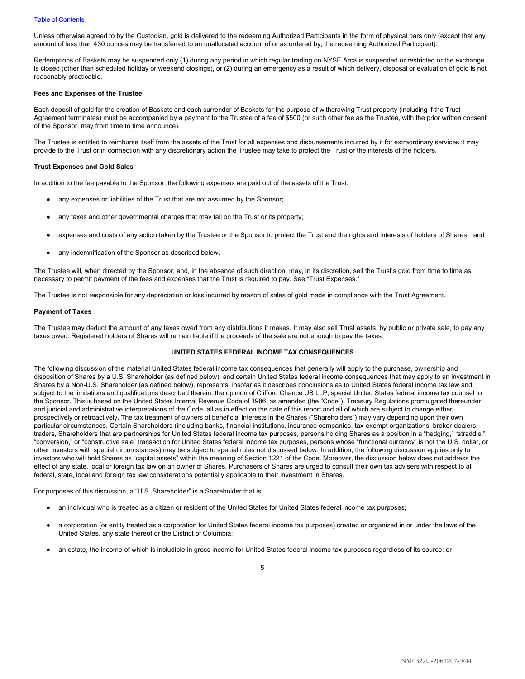Unless otherwise agreed to by the Custodian, gold is delivered to the redeeming Authorized Participants in the form of physical bars only (except that any amount of less than 430 ounces may be transferred to an unallocated account of or as ordered by, the redeeming Authorized Participant).

Redemptions of Baskets may be suspended only (1) during any period in which regular trading on NYSE Arca is suspended or restricted or the exchange is closed (other than scheduled holiday or weekend closings), or (2) during an emergency as a result of which delivery, disposal or evaluation of gold is not reasonably practicable.

#### **Fees and Expenses of the Trustee**

Each deposit of gold for the creation of Baskets and each surrender of Baskets for the purpose of withdrawing Trust property (including if the Trust Agreement terminates) must be accompanied by a payment to the Trustee of a fee of \$500 (or such other fee as the Trustee, with the prior written consent of the Sponsor, may from time to time announce).

The Trustee is entitled to reimburse itself from the assets of the Trust for all expenses and disbursements incurred by it for extraordinary services it may provide to the Trust or in connection with any discretionary action the Trustee may take to protect the Trust or the interests of the holders.

#### **Trust Expenses and Gold Sales**

In addition to the fee payable to the Sponsor, the following expenses are paid out of the assets of the Trust:

- any expenses or liabilities of the Trust that are not assumed by the Sponsor;
- any taxes and other governmental charges that may fall on the Trust or its property;
- expenses and costs of any action taken by the Trustee or the Sponsor to protect the Trust and the rights and interests of holders of Shares; and
- any indemnification of the Sponsor as described below.

The Trustee will, when directed by the Sponsor, and, in the absence of such direction, may, in its discretion, sell the Trust's gold from time to time as necessary to permit payment of the fees and expenses that the Trust is required to pay. See "Trust Expenses."

The Trustee is not responsible for any depreciation or loss incurred by reason of sales of gold made in compliance with the Trust Agreement.

#### **Payment of Taxes**

The Trustee may deduct the amount of any taxes owed from any distributions it makes. It may also sell Trust assets, by public or private sale, to pay any taxes owed. Registered holders of Shares will remain liable if the proceeds of the sale are not enough to pay the taxes.

# **UNITED STATES FEDERAL INCOME TAX CONSEQUENCES**

The following discussion of the material United States federal income tax consequences that generally will apply to the purchase, ownership and disposition of Shares by a U.S. Shareholder (as defined below), and certain United States federal income consequences that may apply to an investment in Shares by a Non-U.S. Shareholder (as defined below), represents, insofar as it describes conclusions as to United States federal income tax law and subject to the limitations and qualifications described therein, the opinion of Clifford Chance US LLP, special United States federal income tax counsel to the Sponsor. This is based on the United States Internal Revenue Code of 1986, as amended (the "Code"), Treasury Regulations promulgated thereunder and judicial and administrative interpretations of the Code, all as in effect on the date of this report and all of which are subject to change either prospectively or retroactively. The tax treatment of owners of beneficial interests in the Shares ("Shareholders") may vary depending upon their own particular circumstances. Certain Shareholders (including banks, financial institutions, insurance companies, tax-exempt organizations, broker-dealers, traders, Shareholders that are partnerships for United States federal income tax purposes, persons holding Shares as a position in a "hedging," "straddle," "conversion," or "constructive sale" transaction for United States federal income tax purposes, persons whose "functional currency" is not the U.S. dollar, or other investors with special circumstances) may be subject to special rules not discussed below. In addition, the following discussion applies only to investors who will hold Shares as "capital assets" within the meaning of Section 1221 of the Code. Moreover, the discussion below does not address the effect of any state, local or foreign tax law on an owner of Shares. Purchasers of Shares are urged to consult their own tax advisers with respect to all federal, state, local and foreign tax law considerations potentially applicable to their investment in Shares.

For purposes of this discussion, a "U.S. Shareholder" is a Shareholder that is:

- an individual who is treated as a citizen or resident of the United States for United States federal income tax purposes;
- a corporation (or entity treated as a corporation for United States federal income tax purposes) created or organized in or under the laws of the United States, any state thereof or the District of Columbia;
- an estate, the income of which is includible in gross income for United States federal income tax purposes regardless of its source; or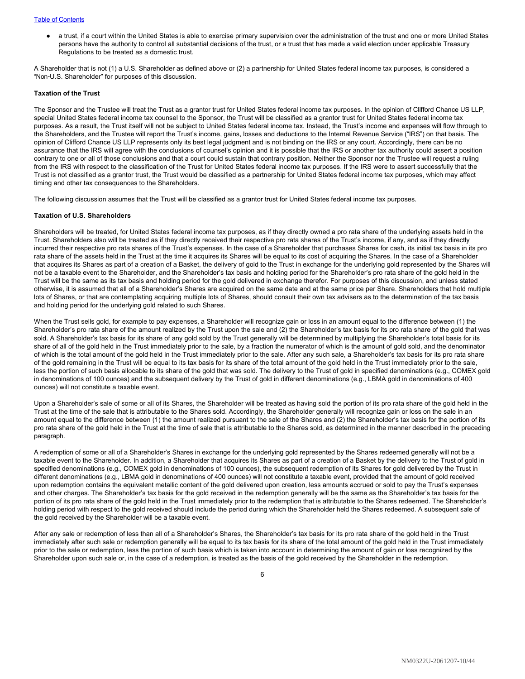a trust, if a court within the United States is able to exercise primary supervision over the administration of the trust and one or more United States persons have the authority to control all substantial decisions of the trust, or a trust that has made a valid election under applicable Treasury Regulations to be treated as a domestic trust.

A Shareholder that is not (1) a U.S. Shareholder as defined above or (2) a partnership for United States federal income tax purposes, is considered a "Non‑U.S. Shareholder" for purposes of this discussion.

# **Taxation of the Trust**

The Sponsor and the Trustee will treat the Trust as a grantor trust for United States federal income tax purposes. In the opinion of Clifford Chance US LLP, special United States federal income tax counsel to the Sponsor, the Trust will be classified as a grantor trust for United States federal income tax purposes. As a result, the Trust itself will not be subject to United States federal income tax. Instead, the Trust's income and expenses will flow through to the Shareholders, and the Trustee will report the Trust's income, gains, losses and deductions to the Internal Revenue Service ("IRS") on that basis. The opinion of Clifford Chance US LLP represents only its best legal judgment and is not binding on the IRS or any court. Accordingly, there can be no assurance that the IRS will agree with the conclusions of counsel's opinion and it is possible that the IRS or another tax authority could assert a position contrary to one or all of those conclusions and that a court could sustain that contrary position. Neither the Sponsor nor the Trustee will request a ruling from the IRS with respect to the classification of the Trust for United States federal income tax purposes. If the IRS were to assert successfully that the Trust is not classified as a grantor trust, the Trust would be classified as a partnership for United States federal income tax purposes, which may affect timing and other tax consequences to the Shareholders.

The following discussion assumes that the Trust will be classified as a grantor trust for United States federal income tax purposes.

# **Taxation of U.S. Shareholders**

Shareholders will be treated, for United States federal income tax purposes, as if they directly owned a pro rata share of the underlying assets held in the Trust. Shareholders also will be treated as if they directly received their respective pro rata shares of the Trust's income, if any, and as if they directly incurred their respective pro rata shares of the Trust's expenses. In the case of a Shareholder that purchases Shares for cash, its initial tax basis in its pro rata share of the assets held in the Trust at the time it acquires its Shares will be equal to its cost of acquiring the Shares. In the case of a Shareholder that acquires its Shares as part of a creation of a Basket, the delivery of gold to the Trust in exchange for the underlying gold represented by the Shares will not be a taxable event to the Shareholder, and the Shareholder's tax basis and holding period for the Shareholder's pro rata share of the gold held in the Trust will be the same as its tax basis and holding period for the gold delivered in exchange therefor. For purposes of this discussion, and unless stated otherwise, it is assumed that all of a Shareholder's Shares are acquired on the same date and at the same price per Share. Shareholders that hold multiple lots of Shares, or that are contemplating acquiring multiple lots of Shares, should consult their own tax advisers as to the determination of the tax basis and holding period for the underlying gold related to such Shares.

When the Trust sells gold, for example to pay expenses, a Shareholder will recognize gain or loss in an amount equal to the difference between (1) the Shareholder's pro rata share of the amount realized by the Trust upon the sale and (2) the Shareholder's tax basis for its pro rata share of the gold that was sold. A Shareholder's tax basis for its share of any gold sold by the Trust generally will be determined by multiplying the Shareholder's total basis for its share of all of the gold held in the Trust immediately prior to the sale, by a fraction the numerator of which is the amount of gold sold, and the denominator of which is the total amount of the gold held in the Trust immediately prior to the sale. After any such sale, a Shareholder's tax basis for its pro rata share of the gold remaining in the Trust will be equal to its tax basis for its share of the total amount of the gold held in the Trust immediately prior to the sale, less the portion of such basis allocable to its share of the gold that was sold. The delivery to the Trust of gold in specified denominations (e.g., COMEX gold in denominations of 100 ounces) and the subsequent delivery by the Trust of gold in different denominations (e.g., LBMA gold in denominations of 400 ounces) will not constitute a taxable event.

Upon a Shareholder's sale of some or all of its Shares, the Shareholder will be treated as having sold the portion of its pro rata share of the gold held in the Trust at the time of the sale that is attributable to the Shares sold. Accordingly, the Shareholder generally will recognize gain or loss on the sale in an amount equal to the difference between (1) the amount realized pursuant to the sale of the Shares and (2) the Shareholder's tax basis for the portion of its pro rata share of the gold held in the Trust at the time of sale that is attributable to the Shares sold, as determined in the manner described in the preceding paragraph.

A redemption of some or all of a Shareholder's Shares in exchange for the underlying gold represented by the Shares redeemed generally will not be a taxable event to the Shareholder. In addition, a Shareholder that acquires its Shares as part of a creation of a Basket by the delivery to the Trust of gold in specified denominations (e.g., COMEX gold in denominations of 100 ounces), the subsequent redemption of its Shares for gold delivered by the Trust in different denominations (e.g., LBMA gold in denominations of 400 ounces) will not constitute a taxable event, provided that the amount of gold received upon redemption contains the equivalent metallic content of the gold delivered upon creation, less amounts accrued or sold to pay the Trust's expenses and other charges. The Shareholder's tax basis for the gold received in the redemption generally will be the same as the Shareholder's tax basis for the portion of its pro rata share of the gold held in the Trust immediately prior to the redemption that is attributable to the Shares redeemed. The Shareholder's holding period with respect to the gold received should include the period during which the Shareholder held the Shares redeemed. A subsequent sale of the gold received by the Shareholder will be a taxable event.

After any sale or redemption of less than all of a Shareholder's Shares, the Shareholder's tax basis for its pro rata share of the gold held in the Trust immediately after such sale or redemption generally will be equal to its tax basis for its share of the total amount of the gold held in the Trust immediately prior to the sale or redemption, less the portion of such basis which is taken into account in determining the amount of gain or loss recognized by the Shareholder upon such sale or, in the case of a redemption, is treated as the basis of the gold received by the Shareholder in the redemption.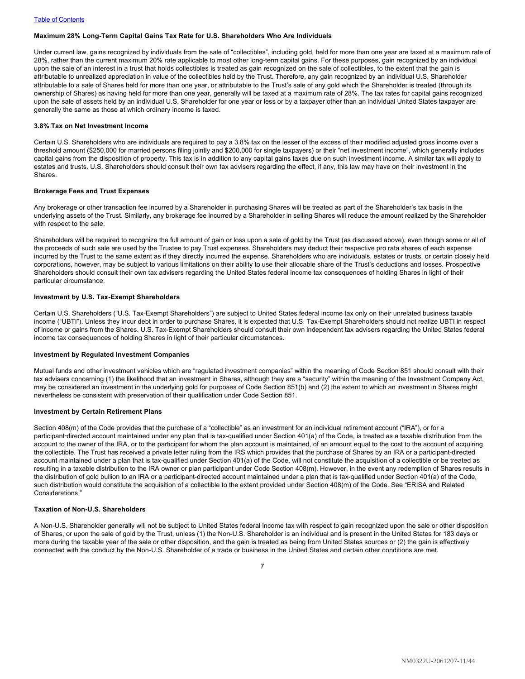#### **Maximum 28% Long-Term Capital Gains Tax Rate for U.S. Shareholders Who Are Individuals**

Under current law, gains recognized by individuals from the sale of "collectibles", including gold, held for more than one year are taxed at a maximum rate of 28%, rather than the current maximum 20% rate applicable to most other long-term capital gains. For these purposes, gain recognized by an individual upon the sale of an interest in a trust that holds collectibles is treated as gain recognized on the sale of collectibles, to the extent that the gain is attributable to unrealized appreciation in value of the collectibles held by the Trust. Therefore, any gain recognized by an individual U.S. Shareholder attributable to a sale of Shares held for more than one year, or attributable to the Trust's sale of any gold which the Shareholder is treated (through its ownership of Shares) as having held for more than one year, generally will be taxed at a maximum rate of 28%. The tax rates for capital gains recognized upon the sale of assets held by an individual U.S. Shareholder for one year or less or by a taxpayer other than an individual United States taxpayer are generally the same as those at which ordinary income is taxed.

#### **3.8% Tax on Net Investment Income**

Certain U.S. Shareholders who are individuals are required to pay a 3.8% tax on the lesser of the excess of their modified adjusted gross income over a threshold amount (\$250,000 for married persons filing jointly and \$200,000 for single taxpayers) or their "net investment income", which generally includes capital gains from the disposition of property. This tax is in addition to any capital gains taxes due on such investment income. A similar tax will apply to estates and trusts. U.S. Shareholders should consult their own tax advisers regarding the effect, if any, this law may have on their investment in the Shares.

#### **Brokerage Fees and Trust Expenses**

Any brokerage or other transaction fee incurred by a Shareholder in purchasing Shares will be treated as part of the Shareholder's tax basis in the underlying assets of the Trust. Similarly, any brokerage fee incurred by a Shareholder in selling Shares will reduce the amount realized by the Shareholder with respect to the sale.

Shareholders will be required to recognize the full amount of gain or loss upon a sale of gold by the Trust (as discussed above), even though some or all of the proceeds of such sale are used by the Trustee to pay Trust expenses. Shareholders may deduct their respective pro rata shares of each expense incurred by the Trust to the same extent as if they directly incurred the expense. Shareholders who are individuals, estates or trusts, or certain closely held corporations, however, may be subject to various limitations on their ability to use their allocable share of the Trust's deductions and losses. Prospective Shareholders should consult their own tax advisers regarding the United States federal income tax consequences of holding Shares in light of their particular circumstance.

#### **Investment by U.S. Tax-Exempt Shareholders**

Certain U.S. Shareholders ("U.S. Tax-Exempt Shareholders") are subject to United States federal income tax only on their unrelated business taxable income ("UBTI"). Unless they incur debt in order to purchase Shares, it is expected that U.S. Tax-Exempt Shareholders should not realize UBTI in respect of income or gains from the Shares. U.S. Tax-Exempt Shareholders should consult their own independent tax advisers regarding the United States federal income tax consequences of holding Shares in light of their particular circumstances.

#### **Investment by Regulated Investment Companies**

Mutual funds and other investment vehicles which are "regulated investment companies" within the meaning of Code Section 851 should consult with their tax advisers concerning (1) the likelihood that an investment in Shares, although they are a "security" within the meaning of the Investment Company Act, may be considered an investment in the underlying gold for purposes of Code Section 851(b) and (2) the extent to which an investment in Shares might nevertheless be consistent with preservation of their qualification under Code Section 851.

#### **Investment by Certain Retirement Plans**

Section 408(m) of the Code provides that the purchase of a "collectible" as an investment for an individual retirement account ("IRA"), or for a participant-directed account maintained under any plan that is tax-qualified under Section 401(a) of the Code, is treated as a taxable distribution from the account to the owner of the IRA, or to the participant for whom the plan account is maintained, of an amount equal to the cost to the account of acquiring the collectible. The Trust has received a private letter ruling from the IRS which provides that the purchase of Shares by an IRA or a participant-directed account maintained under a plan that is tax-qualified under Section 401(a) of the Code, will not constitute the acquisition of a collectible or be treated as resulting in a taxable distribution to the IRA owner or plan participant under Code Section 408(m). However, in the event any redemption of Shares results in the distribution of gold bullion to an IRA or a participant-directed account maintained under a plan that is tax-qualified under Section 401(a) of the Code, such distribution would constitute the acquisition of a collectible to the extent provided under Section 408(m) of the Code. See "ERISA and Related Considerations."

# **Taxation of Non-U.S. Shareholders**

A Non-U.S. Shareholder generally will not be subject to United States federal income tax with respect to gain recognized upon the sale or other disposition of Shares, or upon the sale of gold by the Trust, unless (1) the Non-U.S. Shareholder is an individual and is present in the United States for 183 days or more during the taxable year of the sale or other disposition, and the gain is treated as being from United States sources or (2) the gain is effectively connected with the conduct by the Non-U.S. Shareholder of a trade or business in the United States and certain other conditions are met.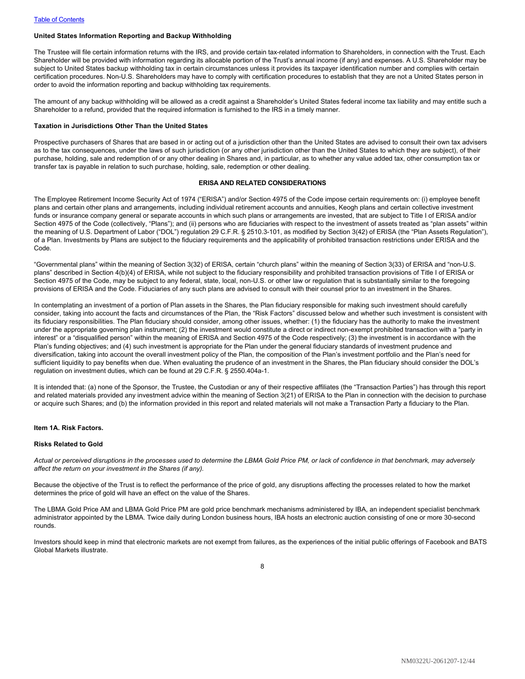#### **United States Information Reporting and Backup Withholding**

The Trustee will file certain information returns with the IRS, and provide certain tax-related information to Shareholders, in connection with the Trust. Each Shareholder will be provided with information regarding its allocable portion of the Trust's annual income (if any) and expenses. A U.S. Shareholder may be subject to United States backup withholding tax in certain circumstances unless it provides its taxpayer identification number and complies with certain certification procedures. Non-U.S. Shareholders may have to comply with certification procedures to establish that they are not a United States person in order to avoid the information reporting and backup withholding tax requirements.

The amount of any backup withholding will be allowed as a credit against a Shareholder's United States federal income tax liability and may entitle such a Shareholder to a refund, provided that the required information is furnished to the IRS in a timely manner.

#### **Taxation in Jurisdictions Other Than the United States**

Prospective purchasers of Shares that are based in or acting out of a jurisdiction other than the United States are advised to consult their own tax advisers as to the tax consequences, under the laws of such jurisdiction (or any other jurisdiction other than the United States to which they are subject), of their purchase, holding, sale and redemption of or any other dealing in Shares and, in particular, as to whether any value added tax, other consumption tax or transfer tax is payable in relation to such purchase, holding, sale, redemption or other dealing.

#### **ERISA AND RELATED CONSIDERATIONS**

The Employee Retirement Income Security Act of 1974 ("ERISA") and/or Section 4975 of the Code impose certain requirements on: (i) employee benefit plans and certain other plans and arrangements, including individual retirement accounts and annuities, Keogh plans and certain collective investment funds or insurance company general or separate accounts in which such plans or arrangements are invested, that are subject to Title I of ERISA and/or Section 4975 of the Code (collectively, "Plans"); and (ii) persons who are fiduciaries with respect to the investment of assets treated as "plan assets" within the meaning of U.S. Department of Labor ("DOL") regulation 29 C.F.R. § 2510.3-101, as modified by Section 3(42) of ERISA (the "Plan Assets Regulation"), of a Plan. Investments by Plans are subject to the fiduciary requirements and the applicability of prohibited transaction restrictions under ERISA and the Code.

"Governmental plans" within the meaning of Section 3(32) of ERISA, certain "church plans" within the meaning of Section 3(33) of ERISA and "non-U.S. plans" described in Section 4(b)(4) of ERISA, while not subject to the fiduciary responsibility and prohibited transaction provisions of Title I of ERISA or Section 4975 of the Code, may be subject to any federal, state, local, non-U.S. or other law or regulation that is substantially similar to the foregoing provisions of ERISA and the Code. Fiduciaries of any such plans are advised to consult with their counsel prior to an investment in the Shares.

In contemplating an investment of a portion of Plan assets in the Shares, the Plan fiduciary responsible for making such investment should carefully consider, taking into account the facts and circumstances of the Plan, the "Risk Factors" discussed below and whether such investment is consistent with its fiduciary responsibilities. The Plan fiduciary should consider, among other issues, whether: (1) the fiduciary has the authority to make the investment under the appropriate governing plan instrument; (2) the investment would constitute a direct or indirect non-exempt prohibited transaction with a "party in interest" or a "disqualified person" within the meaning of ERISA and Section 4975 of the Code respectively; (3) the investment is in accordance with the Plan's funding objectives; and (4) such investment is appropriate for the Plan under the general fiduciary standards of investment prudence and diversification, taking into account the overall investment policy of the Plan, the composition of the Plan's investment portfolio and the Plan's need for sufficient liquidity to pay benefits when due. When evaluating the prudence of an investment in the Shares, the Plan fiduciary should consider the DOL's regulation on investment duties, which can be found at 29 C.F.R. § 2550.404a-1.

It is intended that: (a) none of the Sponsor, the Trustee, the Custodian or any of their respective affiliates (the "Transaction Parties") has through this report and related materials provided any investment advice within the meaning of Section 3(21) of ERISA to the Plan in connection with the decision to purchase or acquire such Shares; and (b) the information provided in this report and related materials will not make a Transaction Party a fiduciary to the Plan.

#### <span id="page-11-0"></span>**Item 1A. Risk Factors.**

#### **Risks Related to Gold**

*Actual or perceived disruptions in the processes used to determine the LBMA Gold Price PM, or lack of confidence in that benchmark, may adversely affect the return on your investment in the Shares (if any).*

Because the objective of the Trust is to reflect the performance of the price of gold, any disruptions affecting the processes related to how the market determines the price of gold will have an effect on the value of the Shares.

The LBMA Gold Price AM and LBMA Gold Price PM are gold price benchmark mechanisms administered by IBA, an independent specialist benchmark administrator appointed by the LBMA. Twice daily during London business hours, IBA hosts an electronic auction consisting of one or more 30-second rounds.

Investors should keep in mind that electronic markets are not exempt from failures, as the experiences of the initial public offerings of Facebook and BATS Global Markets illustrate.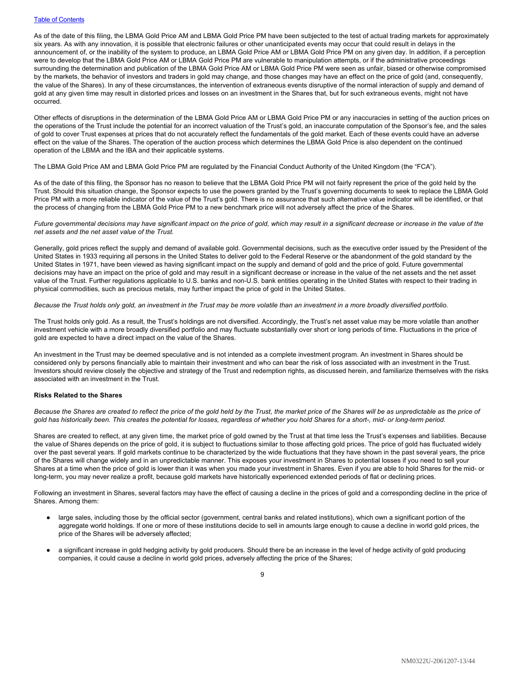As of the date of this filing, the LBMA Gold Price AM and LBMA Gold Price PM have been subjected to the test of actual trading markets for approximately six years. As with any innovation, it is possible that electronic failures or other unanticipated events may occur that could result in delays in the announcement of, or the inability of the system to produce, an LBMA Gold Price AM or LBMA Gold Price PM on any given day. In addition, if a perception were to develop that the LBMA Gold Price AM or LBMA Gold Price PM are vulnerable to manipulation attempts, or if the administrative proceedings surrounding the determination and publication of the LBMA Gold Price AM or LBMA Gold Price PM were seen as unfair, biased or otherwise compromised by the markets, the behavior of investors and traders in gold may change, and those changes may have an effect on the price of gold (and, consequently, the value of the Shares). In any of these circumstances, the intervention of extraneous events disruptive of the normal interaction of supply and demand of gold at any given time may result in distorted prices and losses on an investment in the Shares that, but for such extraneous events, might not have occurred.

Other effects of disruptions in the determination of the LBMA Gold Price AM or LBMA Gold Price PM or any inaccuracies in setting of the auction prices on the operations of the Trust include the potential for an incorrect valuation of the Trust's gold, an inaccurate computation of the Sponsor's fee, and the sales of gold to cover Trust expenses at prices that do not accurately reflect the fundamentals of the gold market. Each of these events could have an adverse effect on the value of the Shares. The operation of the auction process which determines the LBMA Gold Price is also dependent on the continued operation of the LBMA and the IBA and their applicable systems.

The LBMA Gold Price AM and LBMA Gold Price PM are regulated by the Financial Conduct Authority of the United Kingdom (the "FCA").

As of the date of this filing, the Sponsor has no reason to believe that the LBMA Gold Price PM will not fairly represent the price of the gold held by the Trust. Should this situation change, the Sponsor expects to use the powers granted by the Trust's governing documents to seek to replace the LBMA Gold Price PM with a more reliable indicator of the value of the Trust's gold. There is no assurance that such alternative value indicator will be identified, or that the process of changing from the LBMA Gold Price PM to a new benchmark price will not adversely affect the price of the Shares.

*Future governmental decisions may have significant impact on the price of gold, which may result in a significant decrease or increase in the value of the net assets and the net asset value of the Trust.*

Generally, gold prices reflect the supply and demand of available gold. Governmental decisions, such as the executive order issued by the President of the United States in 1933 requiring all persons in the United States to deliver gold to the Federal Reserve or the abandonment of the gold standard by the United States in 1971, have been viewed as having significant impact on the supply and demand of gold and the price of gold. Future governmental decisions may have an impact on the price of gold and may result in a significant decrease or increase in the value of the net assets and the net asset value of the Trust. Further regulations applicable to U.S. banks and non-U.S. bank entities operating in the United States with respect to their trading in physical commodities, such as precious metals, may further impact the price of gold in the United States.

*Because the Trust holds only gold, an investment in the Trust may be more volatile than an investment in a more broadly diversified portfolio.*

The Trust holds only gold. As a result, the Trust's holdings are not diversified. Accordingly, the Trust's net asset value may be more volatile than another investment vehicle with a more broadly diversified portfolio and may fluctuate substantially over short or long periods of time. Fluctuations in the price of gold are expected to have a direct impact on the value of the Shares.

An investment in the Trust may be deemed speculative and is not intended as a complete investment program. An investment in Shares should be considered only by persons financially able to maintain their investment and who can bear the risk of loss associated with an investment in the Trust. Investors should review closely the objective and strategy of the Trust and redemption rights, as discussed herein, and familiarize themselves with the risks associated with an investment in the Trust.

#### **Risks Related to the Shares**

*Because the Shares are created to reflect the price of the gold held by the Trust, the market price of the Shares will be as unpredictable as the price of gold has historically been. This creates the potential for losses, regardless of whether you hold Shares for a short-, mid- or long-term period.*

Shares are created to reflect, at any given time, the market price of gold owned by the Trust at that time less the Trust's expenses and liabilities. Because the value of Shares depends on the price of gold, it is subject to fluctuations similar to those affecting gold prices. The price of gold has fluctuated widely over the past several years. If gold markets continue to be characterized by the wide fluctuations that they have shown in the past several years, the price of the Shares will change widely and in an unpredictable manner. This exposes your investment in Shares to potential losses if you need to sell your Shares at a time when the price of gold is lower than it was when you made your investment in Shares. Even if you are able to hold Shares for the mid- or long-term, you may never realize a profit, because gold markets have historically experienced extended periods of flat or declining prices.

Following an investment in Shares, several factors may have the effect of causing a decline in the prices of gold and a corresponding decline in the price of Shares. Among them:

- large sales, including those by the official sector (government, central banks and related institutions), which own a significant portion of the aggregate world holdings. If one or more of these institutions decide to sell in amounts large enough to cause a decline in world gold prices, the price of the Shares will be adversely affected;
- a significant increase in gold hedging activity by gold producers. Should there be an increase in the level of hedge activity of gold producing companies, it could cause a decline in world gold prices, adversely affecting the price of the Shares;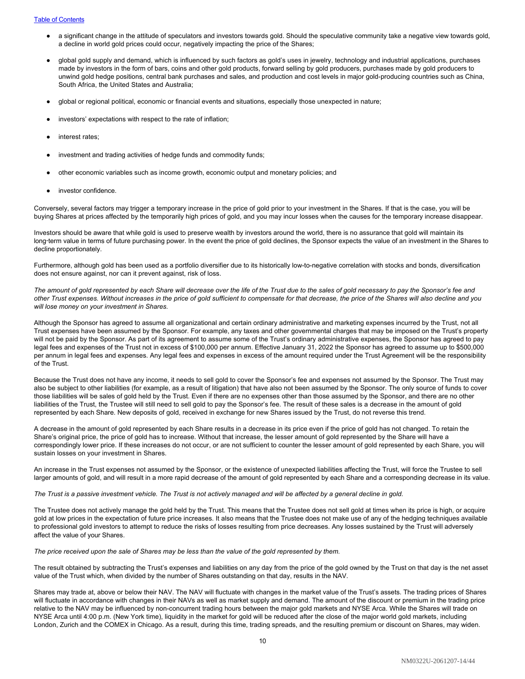#### **[Table of Contents](#page-3-0)**

- a significant change in the attitude of speculators and investors towards gold. Should the speculative community take a negative view towards gold, a decline in world gold prices could occur, negatively impacting the price of the Shares;
- global gold supply and demand, which is influenced by such factors as gold's uses in jewelry, technology and industrial applications, purchases made by investors in the form of bars, coins and other gold products, forward selling by gold producers, purchases made by gold producers to unwind gold hedge positions, central bank purchases and sales, and production and cost levels in major gold-producing countries such as China, South Africa, the United States and Australia;
- global or regional political, economic or financial events and situations, especially those unexpected in nature;
- investors' expectations with respect to the rate of inflation;
- interest rates:
- investment and trading activities of hedge funds and commodity funds;
- other economic variables such as income growth, economic output and monetary policies; and
- investor confidence.

Conversely, several factors may trigger a temporary increase in the price of gold prior to your investment in the Shares. If that is the case, you will be buying Shares at prices affected by the temporarily high prices of gold, and you may incur losses when the causes for the temporary increase disappear.

Investors should be aware that while gold is used to preserve wealth by investors around the world, there is no assurance that gold will maintain its long-term value in terms of future purchasing power. In the event the price of gold declines, the Sponsor expects the value of an investment in the Shares to decline proportionately.

Furthermore, although gold has been used as a portfolio diversifier due to its historically low-to-negative correlation with stocks and bonds, diversification does not ensure against, nor can it prevent against, risk of loss.

*The amount of gold represented by each Share will decrease over the life of the Trust due to the sales of gold necessary to pay the Sponsor's fee and other Trust expenses. Without increases in the price of gold sufficient to compensate for that decrease, the price of the Shares will also decline and you will lose money on your investment in Shares.*

Although the Sponsor has agreed to assume all organizational and certain ordinary administrative and marketing expenses incurred by the Trust, not all Trust expenses have been assumed by the Sponsor. For example, any taxes and other governmental charges that may be imposed on the Trust's property will not be paid by the Sponsor. As part of its agreement to assume some of the Trust's ordinary administrative expenses, the Sponsor has agreed to pay legal fees and expenses of the Trust not in excess of \$100,000 per annum. Effective January 31, 2022 the Sponsor has agreed to assume up to \$500,000 per annum in legal fees and expenses. Any legal fees and expenses in excess of the amount required under the Trust Agreement will be the responsibility of the Trust.

Because the Trust does not have any income, it needs to sell gold to cover the Sponsor's fee and expenses not assumed by the Sponsor. The Trust may also be subject to other liabilities (for example, as a result of litigation) that have also not been assumed by the Sponsor. The only source of funds to cover those liabilities will be sales of gold held by the Trust. Even if there are no expenses other than those assumed by the Sponsor, and there are no other liabilities of the Trust, the Trustee will still need to sell gold to pay the Sponsor's fee. The result of these sales is a decrease in the amount of gold represented by each Share. New deposits of gold, received in exchange for new Shares issued by the Trust, do not reverse this trend.

A decrease in the amount of gold represented by each Share results in a decrease in its price even if the price of gold has not changed. To retain the Share's original price, the price of gold has to increase. Without that increase, the lesser amount of gold represented by the Share will have a correspondingly lower price. If these increases do not occur, or are not sufficient to counter the lesser amount of gold represented by each Share, you will sustain losses on your investment in Shares.

An increase in the Trust expenses not assumed by the Sponsor, or the existence of unexpected liabilities affecting the Trust, will force the Trustee to sell larger amounts of gold, and will result in a more rapid decrease of the amount of gold represented by each Share and a corresponding decrease in its value.

*The Trust is a passive investment vehicle. The Trust is not actively managed and will be affected by a general decline in gold.*

The Trustee does not actively manage the gold held by the Trust. This means that the Trustee does not sell gold at times when its price is high, or acquire gold at low prices in the expectation of future price increases. It also means that the Trustee does not make use of any of the hedging techniques available to professional gold investors to attempt to reduce the risks of losses resulting from price decreases. Any losses sustained by the Trust will adversely affect the value of your Shares.

*The price received upon the sale of Shares may be less than the value of the gold represented by them.*

The result obtained by subtracting the Trust's expenses and liabilities on any day from the price of the gold owned by the Trust on that day is the net asset value of the Trust which, when divided by the number of Shares outstanding on that day, results in the NAV.

Shares may trade at, above or below their NAV. The NAV will fluctuate with changes in the market value of the Trust's assets. The trading prices of Shares will fluctuate in accordance with changes in their NAVs as well as market supply and demand. The amount of the discount or premium in the trading price relative to the NAV may be influenced by non-concurrent trading hours between the major gold markets and NYSE Arca. While the Shares will trade on NYSE Arca until 4:00 p.m. (New York time), liquidity in the market for gold will be reduced after the close of the major world gold markets, including London, Zurich and the COMEX in Chicago. As a result, during this time, trading spreads, and the resulting premium or discount on Shares, may widen.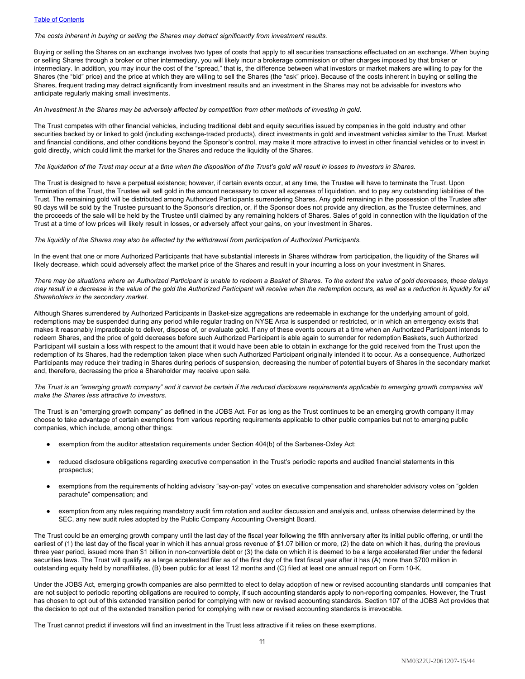#### **[Table of Contents](#page-3-0)**

*The costs inherent in buying or selling the Shares may detract significantly from investment results.*

Buying or selling the Shares on an exchange involves two types of costs that apply to all securities transactions effectuated on an exchange. When buying or selling Shares through a broker or other intermediary, you will likely incur a brokerage commission or other charges imposed by that broker or intermediary. In addition, you may incur the cost of the "spread," that is, the difference between what investors or market makers are willing to pay for the Shares (the "bid" price) and the price at which they are willing to sell the Shares (the "ask" price). Because of the costs inherent in buying or selling the Shares, frequent trading may detract significantly from investment results and an investment in the Shares may not be advisable for investors who anticipate regularly making small investments.

*An investment in the Shares may be adversely affected by competition from other methods of investing in gold.*

The Trust competes with other financial vehicles, including traditional debt and equity securities issued by companies in the gold industry and other securities backed by or linked to gold (including exchange-traded products), direct investments in gold and investment vehicles similar to the Trust. Market and financial conditions, and other conditions beyond the Sponsor's control, may make it more attractive to invest in other financial vehicles or to invest in gold directly, which could limit the market for the Shares and reduce the liquidity of the Shares.

*The liquidation of the Trust may occur at a time when the disposition of the Trust's gold will result in losses to investors in Shares.*

The Trust is designed to have a perpetual existence; however, if certain events occur, at any time, the Trustee will have to terminate the Trust. Upon termination of the Trust, the Trustee will sell gold in the amount necessary to cover all expenses of liquidation, and to pay any outstanding liabilities of the Trust. The remaining gold will be distributed among Authorized Participants surrendering Shares. Any gold remaining in the possession of the Trustee after 90 days will be sold by the Trustee pursuant to the Sponsor's direction, or, if the Sponsor does not provide any direction, as the Trustee determines, and the proceeds of the sale will be held by the Trustee until claimed by any remaining holders of Shares. Sales of gold in connection with the liquidation of the Trust at a time of low prices will likely result in losses, or adversely affect your gains, on your investment in Shares.

*The liquidity of the Shares may also be affected by the withdrawal from participation of Authorized Participants.*

In the event that one or more Authorized Participants that have substantial interests in Shares withdraw from participation, the liquidity of the Shares will likely decrease, which could adversely affect the market price of the Shares and result in your incurring a loss on your investment in Shares.

*There may be situations where an Authorized Participant is unable to redeem a Basket of Shares. To the extent the value of gold decreases, these delays may result in a decrease in the value of the gold the Authorized Participant will receive when the redemption occurs, as well as a reduction in liquidity for all Shareholders in the secondary market.*

Although Shares surrendered by Authorized Participants in Basket-size aggregations are redeemable in exchange for the underlying amount of gold, redemptions may be suspended during any period while regular trading on NYSE Arca is suspended or restricted, or in which an emergency exists that makes it reasonably impracticable to deliver, dispose of, or evaluate gold. If any of these events occurs at a time when an Authorized Participant intends to redeem Shares, and the price of gold decreases before such Authorized Participant is able again to surrender for redemption Baskets, such Authorized Participant will sustain a loss with respect to the amount that it would have been able to obtain in exchange for the gold received from the Trust upon the redemption of its Shares, had the redemption taken place when such Authorized Participant originally intended it to occur. As a consequence, Authorized Participants may reduce their trading in Shares during periods of suspension, decreasing the number of potential buyers of Shares in the secondary market and, therefore, decreasing the price a Shareholder may receive upon sale.

*The Trust is an "emerging growth company" and it cannot be certain if the reduced disclosure requirements applicable to emerging growth companies will make the Shares less attractive to investors.*

The Trust is an "emerging growth company" as defined in the JOBS Act. For as long as the Trust continues to be an emerging growth company it may choose to take advantage of certain exemptions from various reporting requirements applicable to other public companies but not to emerging public companies, which include, among other things:

- exemption from the auditor attestation requirements under Section 404(b) of the Sarbanes-Oxley Act;
- reduced disclosure obligations regarding executive compensation in the Trust's periodic reports and audited financial statements in this prospectus;
- exemptions from the requirements of holding advisory "say-on-pay" votes on executive compensation and shareholder advisory votes on "golden parachute" compensation; and
- exemption from any rules requiring mandatory audit firm rotation and auditor discussion and analysis and, unless otherwise determined by the SEC, any new audit rules adopted by the Public Company Accounting Oversight Board.

The Trust could be an emerging growth company until the last day of the fiscal year following the fifth anniversary after its initial public offering, or until the earliest of (1) the last day of the fiscal year in which it has annual gross revenue of \$1.07 billion or more, (2) the date on which it has, during the previous three year period, issued more than \$1 billion in non-convertible debt or (3) the date on which it is deemed to be a large accelerated filer under the federal securities laws. The Trust will qualify as a large accelerated filer as of the first day of the first fiscal year after it has (A) more than \$700 million in outstanding equity held by nonaffiliates, (B) been public for at least 12 months and (C) filed at least one annual report on Form 10-K.

Under the JOBS Act, emerging growth companies are also permitted to elect to delay adoption of new or revised accounting standards until companies that are not subject to periodic reporting obligations are required to comply, if such accounting standards apply to non-reporting companies. However, the Trust has chosen to opt out of this extended transition period for complying with new or revised accounting standards. Section 107 of the JOBS Act provides that the decision to opt out of the extended transition period for complying with new or revised accounting standards is irrevocable.

The Trust cannot predict if investors will find an investment in the Trust less attractive if it relies on these exemptions.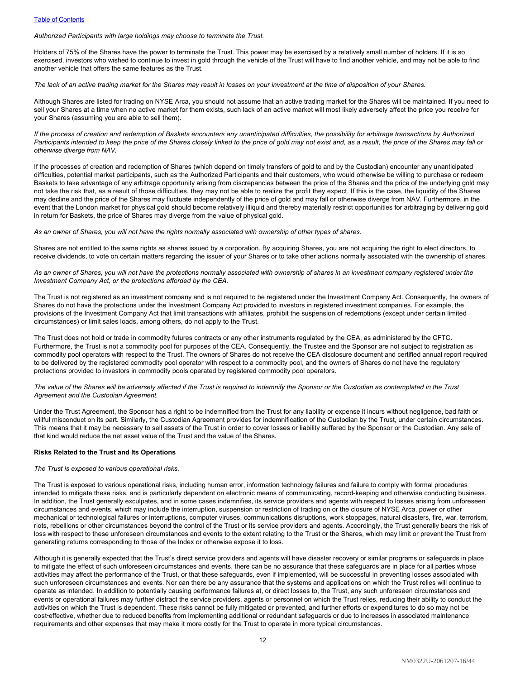*Authorized Participants with large holdings may choose to terminate the Trust.*

Holders of 75% of the Shares have the power to terminate the Trust. This power may be exercised by a relatively small number of holders. If it is so exercised, investors who wished to continue to invest in gold through the vehicle of the Trust will have to find another vehicle, and may not be able to find another vehicle that offers the same features as the Trust.

*The lack of an active trading market for the Shares may result in losses on your investment at the time of disposition of your Shares.*

Although Shares are listed for trading on NYSE Arca, you should not assume that an active trading market for the Shares will be maintained. If you need to sell your Shares at a time when no active market for them exists, such lack of an active market will most likely adversely affect the price you receive for your Shares (assuming you are able to sell them).

*If the process of creation and redemption of Baskets encounters any unanticipated difficulties, the possibility for arbitrage transactions by Authorized Participants intended to keep the price of the Shares closely linked to the price of gold may not exist and, as a result, the price of the Shares may fall or otherwise diverge from NAV.*

If the processes of creation and redemption of Shares (which depend on timely transfers of gold to and by the Custodian) encounter any unanticipated difficulties, potential market participants, such as the Authorized Participants and their customers, who would otherwise be willing to purchase or redeem Baskets to take advantage of any arbitrage opportunity arising from discrepancies between the price of the Shares and the price of the underlying gold may not take the risk that, as a result of those difficulties, they may not be able to realize the profit they expect. If this is the case, the liquidity of the Shares may decline and the price of the Shares may fluctuate independently of the price of gold and may fall or otherwise diverge from NAV. Furthermore, in the event that the London market for physical gold should become relatively illiquid and thereby materially restrict opportunities for arbitraging by delivering gold in return for Baskets, the price of Shares may diverge from the value of physical gold.

*As an owner of Shares, you will not have the rights normally associated with ownership of other types of shares.*

Shares are not entitled to the same rights as shares issued by a corporation. By acquiring Shares, you are not acquiring the right to elect directors, to receive dividends, to vote on certain matters regarding the issuer of your Shares or to take other actions normally associated with the ownership of shares.

*As an owner of Shares, you will not have the protections normally associated with ownership of shares in an investment company registered under the Investment Company Act, or the protections afforded by the CEA.*

The Trust is not registered as an investment company and is not required to be registered under the Investment Company Act. Consequently, the owners of Shares do not have the protections under the Investment Company Act provided to investors in registered investment companies. For example, the provisions of the Investment Company Act that limit transactions with affiliates, prohibit the suspension of redemptions (except under certain limited circumstances) or limit sales loads, among others, do not apply to the Trust.

The Trust does not hold or trade in commodity futures contracts or any other instruments regulated by the CEA, as administered by the CFTC. Furthermore, the Trust is not a commodity pool for purposes of the CEA. Consequently, the Trustee and the Sponsor are not subject to registration as commodity pool operators with respect to the Trust. The owners of Shares do not receive the CEA disclosure document and certified annual report required to be delivered by the registered commodity pool operator with respect to a commodity pool, and the owners of Shares do not have the regulatory protections provided to investors in commodity pools operated by registered commodity pool operators.

*The value of the Shares will be adversely affected if the Trust is required to indemnify the Sponsor or the Custodian as contemplated in the Trust Agreement and the Custodian Agreement.*

Under the Trust Agreement, the Sponsor has a right to be indemnified from the Trust for any liability or expense it incurs without negligence, bad faith or willful misconduct on its part. Similarly, the Custodian Agreement provides for indemnification of the Custodian by the Trust, under certain circumstances. This means that it may be necessary to sell assets of the Trust in order to cover losses or liability suffered by the Sponsor or the Custodian. Any sale of that kind would reduce the net asset value of the Trust and the value of the Shares*.*

#### **Risks Related to the Trust and Its Operations**

# *The Trust is exposed to various operational risks.*

The Trust is exposed to various operational risks, including human error, information technology failures and failure to comply with formal procedures intended to mitigate these risks, and is particularly dependent on electronic means of communicating, record-keeping and otherwise conducting business. In addition, the Trust generally exculpates, and in some cases indemnifies, its service providers and agents with respect to losses arising from unforeseen circumstances and events, which may include the interruption, suspension or restriction of trading on or the closure of NYSE Arca, power or other mechanical or technological failures or interruptions, computer viruses, communications disruptions, work stoppages, natural disasters, fire, war, terrorism, riots, rebellions or other circumstances beyond the control of the Trust or its service providers and agents. Accordingly, the Trust generally bears the risk of loss with respect to these unforeseen circumstances and events to the extent relating to the Trust or the Shares, which may limit or prevent the Trust from generating returns corresponding to those of the Index or otherwise expose it to loss.

Although it is generally expected that the Trust's direct service providers and agents will have disaster recovery or similar programs or safeguards in place to mitigate the effect of such unforeseen circumstances and events, there can be no assurance that these safeguards are in place for all parties whose activities may affect the performance of the Trust, or that these safeguards, even if implemented, will be successful in preventing losses associated with such unforeseen circumstances and events. Nor can there be any assurance that the systems and applications on which the Trust relies will continue to operate as intended. In addition to potentially causing performance failures at, or direct losses to, the Trust, any such unforeseen circumstances and events or operational failures may further distract the service providers, agents or personnel on which the Trust relies, reducing their ability to conduct the activities on which the Trust is dependent. These risks cannot be fully mitigated or prevented, and further efforts or expenditures to do so may not be cost‑effective, whether due to reduced benefits from implementing additional or redundant safeguards or due to increases in associated maintenance requirements and other expenses that may make it more costly for the Trust to operate in more typical circumstances.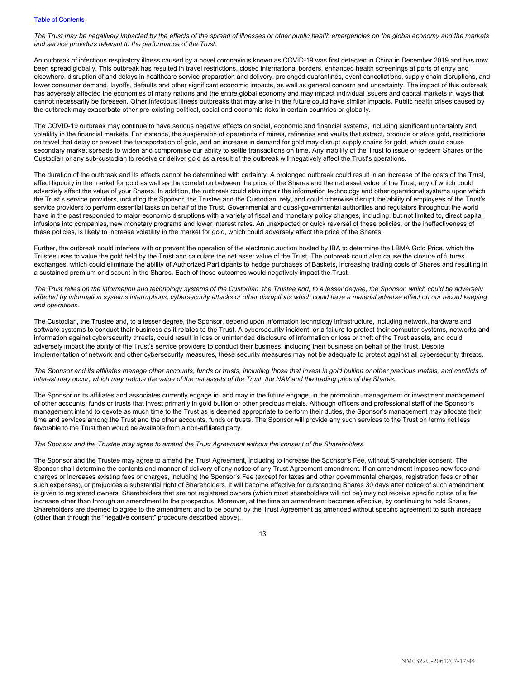*The Trust may be negatively impacted by the effects of the spread of illnesses or other public health emergencies on the global economy and the markets and service providers relevant to the performance of the Trust.*

An outbreak of infectious respiratory illness caused by a novel coronavirus known as COVID-19 was first detected in China in December 2019 and has now been spread globally. This outbreak has resulted in travel restrictions, closed international borders, enhanced health screenings at ports of entry and elsewhere, disruption of and delays in healthcare service preparation and delivery, prolonged quarantines, event cancellations, supply chain disruptions, and lower consumer demand, layoffs, defaults and other significant economic impacts, as well as general concern and uncertainty. The impact of this outbreak has adversely affected the economies of many nations and the entire global economy and may impact individual issuers and capital markets in ways that cannot necessarily be foreseen. Other infectious illness outbreaks that may arise in the future could have similar impacts. Public health crises caused by the outbreak may exacerbate other pre-existing political, social and economic risks in certain countries or globally.

The COVID-19 outbreak may continue to have serious negative effects on social, economic and financial systems, including significant uncertainty and volatility in the financial markets. For instance, the suspension of operations of mines, refineries and vaults that extract, produce or store gold, restrictions on travel that delay or prevent the transportation of gold, and an increase in demand for gold may disrupt supply chains for gold, which could cause secondary market spreads to widen and compromise our ability to settle transactions on time. Any inability of the Trust to issue or redeem Shares or the Custodian or any sub-custodian to receive or deliver gold as a result of the outbreak will negatively affect the Trust's operations.

The duration of the outbreak and its effects cannot be determined with certainty. A prolonged outbreak could result in an increase of the costs of the Trust, affect liquidity in the market for gold as well as the correlation between the price of the Shares and the net asset value of the Trust, any of which could adversely affect the value of your Shares. In addition, the outbreak could also impair the information technology and other operational systems upon which the Trust's service providers, including the Sponsor, the Trustee and the Custodian, rely, and could otherwise disrupt the ability of employees of the Trust's service providers to perform essential tasks on behalf of the Trust. Governmental and quasi-governmental authorities and regulators throughout the world have in the past responded to major economic disruptions with a variety of fiscal and monetary policy changes, including, but not limited to, direct capital infusions into companies, new monetary programs and lower interest rates. An unexpected or quick reversal of these policies, or the ineffectiveness of these policies, is likely to increase volatility in the market for gold, which could adversely affect the price of the Shares.

Further, the outbreak could interfere with or prevent the operation of the electronic auction hosted by IBA to determine the LBMA Gold Price, which the Trustee uses to value the gold held by the Trust and calculate the net asset value of the Trust. The outbreak could also cause the closure of futures exchanges, which could eliminate the ability of Authorized Participants to hedge purchases of Baskets, increasing trading costs of Shares and resulting in a sustained premium or discount in the Shares. Each of these outcomes would negatively impact the Trust.

*The Trust relies on the information and technology systems of the Custodian, the Trustee and, to a lesser degree, the Sponsor, which could be adversely affected by information systems interruptions, cybersecurity attacks or other disruptions which could have a material adverse effect on our record keeping and operations.*

The Custodian, the Trustee and, to a lesser degree, the Sponsor, depend upon information technology infrastructure, including network, hardware and software systems to conduct their business as it relates to the Trust. A cybersecurity incident, or a failure to protect their computer systems, networks and information against cybersecurity threats, could result in loss or unintended disclosure of information or loss or theft of the Trust assets, and could adversely impact the ability of the Trust's service providers to conduct their business, including their business on behalf of the Trust. Despite implementation of network and other cybersecurity measures, these security measures may not be adequate to protect against all cybersecurity threats.

*The Sponsor and its affiliates manage other accounts, funds or trusts, including those that invest in gold bullion or other precious metals, and conflicts of interest may occur, which may reduce the value of the net assets of the Trust, the NAV and the trading price of the Shares.*

The Sponsor or its affiliates and associates currently engage in, and may in the future engage, in the promotion, management or investment management of other accounts, funds or trusts that invest primarily in gold bullion or other precious metals. Although officers and professional staff of the Sponsor's management intend to devote as much time to the Trust as is deemed appropriate to perform their duties, the Sponsor's management may allocate their time and services among the Trust and the other accounts, funds or trusts. The Sponsor will provide any such services to the Trust on terms not less favorable to the Trust than would be available from a non-affiliated party.

*The Sponsor and the Trustee may agree to amend the Trust Agreement without the consent of the Shareholders.*

The Sponsor and the Trustee may agree to amend the Trust Agreement, including to increase the Sponsor's Fee, without Shareholder consent. The Sponsor shall determine the contents and manner of delivery of any notice of any Trust Agreement amendment. If an amendment imposes new fees and charges or increases existing fees or charges, including the Sponsor's Fee (except for taxes and other governmental charges, registration fees or other such expenses), or prejudices a substantial right of Shareholders, it will become effective for outstanding Shares 30 days after notice of such amendment is given to registered owners. Shareholders that are not registered owners (which most shareholders will not be) may not receive specific notice of a fee increase other than through an amendment to the prospectus. Moreover, at the time an amendment becomes effective, by continuing to hold Shares, Shareholders are deemed to agree to the amendment and to be bound by the Trust Agreement as amended without specific agreement to such increase (other than through the "negative consent" procedure described above).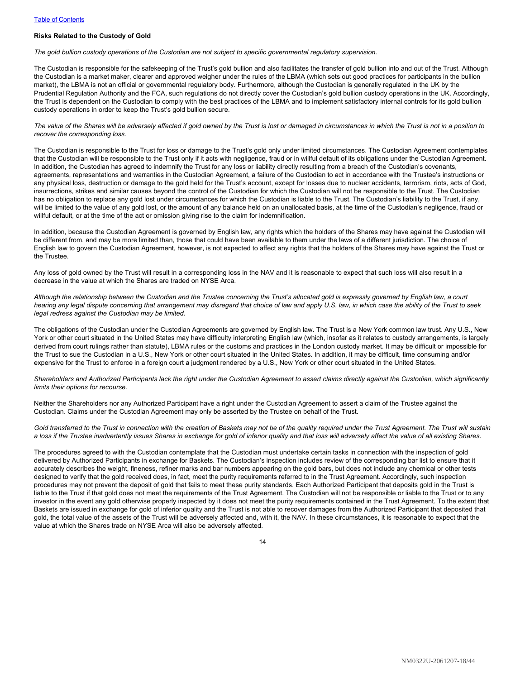# **Risks Related to the Custody of Gold**

*The gold bullion custody operations of the Custodian are not subject to specific governmental regulatory supervision.*

The Custodian is responsible for the safekeeping of the Trust's gold bullion and also facilitates the transfer of gold bullion into and out of the Trust. Although the Custodian is a market maker, clearer and approved weigher under the rules of the LBMA (which sets out good practices for participants in the bullion market), the LBMA is not an official or governmental regulatory body. Furthermore, although the Custodian is generally regulated in the UK by the Prudential Regulation Authority and the FCA, such regulations do not directly cover the Custodian's gold bullion custody operations in the UK. Accordingly, the Trust is dependent on the Custodian to comply with the best practices of the LBMA and to implement satisfactory internal controls for its gold bullion custody operations in order to keep the Trust's gold bullion secure.

*The value of the Shares will be adversely affected if gold owned by the Trust is lost or damaged in circumstances in which the Trust is not in a position to recover the corresponding loss.*

The Custodian is responsible to the Trust for loss or damage to the Trust's gold only under limited circumstances. The Custodian Agreement contemplates that the Custodian will be responsible to the Trust only if it acts with negligence, fraud or in willful default of its obligations under the Custodian Agreement. In addition, the Custodian has agreed to indemnify the Trust for any loss or liability directly resulting from a breach of the Custodian's covenants, agreements, representations and warranties in the Custodian Agreement, a failure of the Custodian to act in accordance with the Trustee's instructions or any physical loss, destruction or damage to the gold held for the Trust's account, except for losses due to nuclear accidents, terrorism, riots, acts of God, insurrections, strikes and similar causes beyond the control of the Custodian for which the Custodian will not be responsible to the Trust. The Custodian has no obligation to replace any gold lost under circumstances for which the Custodian is liable to the Trust. The Custodian's liability to the Trust, if any, will be limited to the value of any gold lost, or the amount of any balance held on an unallocated basis, at the time of the Custodian's negligence, fraud or willful default, or at the time of the act or omission giving rise to the claim for indemnification.

In addition, because the Custodian Agreement is governed by English law, any rights which the holders of the Shares may have against the Custodian will be different from, and may be more limited than, those that could have been available to them under the laws of a different jurisdiction. The choice of English law to govern the Custodian Agreement, however, is not expected to affect any rights that the holders of the Shares may have against the Trust or the Trustee.

Any loss of gold owned by the Trust will result in a corresponding loss in the NAV and it is reasonable to expect that such loss will also result in a decrease in the value at which the Shares are traded on NYSE Arca.

*Although the relationship between the Custodian and the Trustee concerning the Trust's allocated gold is expressly governed by English law, a court hearing any legal dispute concerning that arrangement may disregard that choice of law and apply U.S. law, in which case the ability of the Trust to seek legal redress against the Custodian may be limited.*

The obligations of the Custodian under the Custodian Agreements are governed by English law. The Trust is a New York common law trust. Any U.S., New York or other court situated in the United States may have difficulty interpreting English law (which, insofar as it relates to custody arrangements, is largely derived from court rulings rather than statute), LBMA rules or the customs and practices in the London custody market. It may be difficult or impossible for the Trust to sue the Custodian in a U.S., New York or other court situated in the United States. In addition, it may be difficult, time consuming and/or expensive for the Trust to enforce in a foreign court a judgment rendered by a U.S., New York or other court situated in the United States.

*Shareholders and Authorized Participants lack the right under the Custodian Agreement to assert claims directly against the Custodian, which significantly limits their options for recourse.*

Neither the Shareholders nor any Authorized Participant have a right under the Custodian Agreement to assert a claim of the Trustee against the Custodian. Claims under the Custodian Agreement may only be asserted by the Trustee on behalf of the Trust.

*Gold transferred to the Trust in connection with the creation of Baskets may not be of the quality required under the Trust Agreement. The Trust will sustain a loss if the Trustee inadvertently issues Shares in exchange for gold of inferior quality and that loss will adversely affect the value of all existing Shares.*

The procedures agreed to with the Custodian contemplate that the Custodian must undertake certain tasks in connection with the inspection of gold delivered by Authorized Participants in exchange for Baskets. The Custodian's inspection includes review of the corresponding bar list to ensure that it accurately describes the weight, fineness, refiner marks and bar numbers appearing on the gold bars, but does not include any chemical or other tests designed to verify that the gold received does, in fact, meet the purity requirements referred to in the Trust Agreement. Accordingly, such inspection procedures may not prevent the deposit of gold that fails to meet these purity standards. Each Authorized Participant that deposits gold in the Trust is liable to the Trust if that gold does not meet the requirements of the Trust Agreement. The Custodian will not be responsible or liable to the Trust or to any investor in the event any gold otherwise properly inspected by it does not meet the purity requirements contained in the Trust Agreement. To the extent that Baskets are issued in exchange for gold of inferior quality and the Trust is not able to recover damages from the Authorized Participant that deposited that gold, the total value of the assets of the Trust will be adversely affected and, with it, the NAV. In these circumstances, it is reasonable to expect that the value at which the Shares trade on NYSE Arca will also be adversely affected.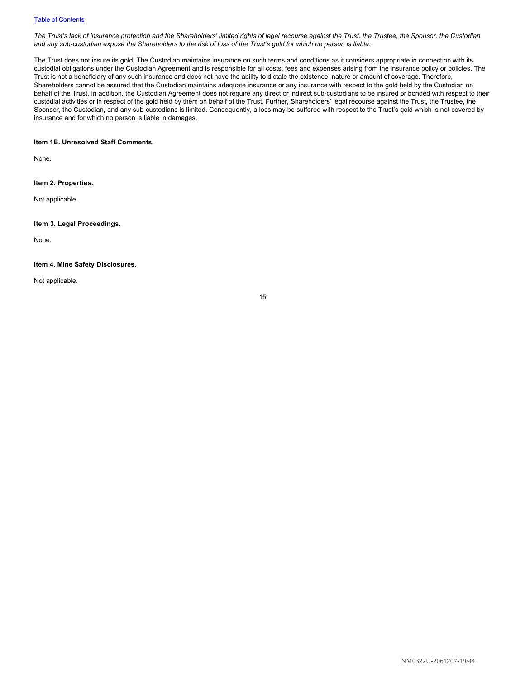# **[Table of Contents](#page-3-0)**

*The Trust's lack of insurance protection and the Shareholders' limited rights of legal recourse against the Trust, the Trustee, the Sponsor, the Custodian and any sub-custodian expose the Shareholders to the risk of loss of the Trust's gold for which no person is liable.*

The Trust does not insure its gold. The Custodian maintains insurance on such terms and conditions as it considers appropriate in connection with its custodial obligations under the Custodian Agreement and is responsible for all costs, fees and expenses arising from the insurance policy or policies. The Trust is not a beneficiary of any such insurance and does not have the ability to dictate the existence, nature or amount of coverage. Therefore, Shareholders cannot be assured that the Custodian maintains adequate insurance or any insurance with respect to the gold held by the Custodian on behalf of the Trust. In addition, the Custodian Agreement does not require any direct or indirect sub-custodians to be insured or bonded with respect to their custodial activities or in respect of the gold held by them on behalf of the Trust. Further, Shareholders' legal recourse against the Trust, the Trustee, the Sponsor, the Custodian, and any sub-custodians is limited. Consequently, a loss may be suffered with respect to the Trust's gold which is not covered by insurance and for which no person is liable in damages.

#### <span id="page-18-0"></span>**Item 1B. Unresolved Staff Comments.**

None.

#### <span id="page-18-1"></span>**Item 2. Properties.**

Not applicable.

#### <span id="page-18-2"></span>**Item 3. Legal Proceedings.**

None.

#### <span id="page-18-3"></span>**Item 4. Mine Safety Disclosures.**

Not applicable.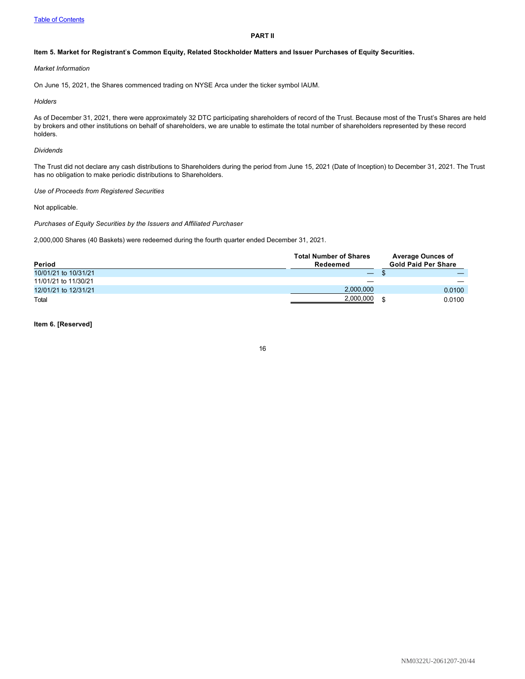# <span id="page-19-0"></span>**PART II**

# <span id="page-19-1"></span>**Item 5. Market for Registrant**'**s Common Equity, Related Stockholder Matters and Issuer Purchases of Equity Securities.**

*Market Information*

On June 15, 2021, the Shares commenced trading on NYSE Arca under the ticker symbol IAUM.

#### *Holders*

As of December 31, 2021, there were approximately 32 DTC participating shareholders of record of the Trust. Because most of the Trust's Shares are held by brokers and other institutions on behalf of shareholders, we are unable to estimate the total number of shareholders represented by these record holders.

# *Dividends*

The Trust did not declare any cash distributions to Shareholders during the period from June 15, 2021 (Date of Inception) to December 31, 2021. The Trust has no obligation to make periodic distributions to Shareholders.

#### *Use of Proceeds from Registered Securities*

Not applicable.

#### *Purchases of Equity Securities by the Issuers and Affiliated Purchaser*

2,000,000 Shares (40 Baskets) were redeemed during the fourth quarter ended December 31, 2021.

| Period               | <b>Total Number of Shares</b><br>Redeemed | <b>Average Ounces of</b><br><b>Gold Paid Per Share</b> |
|----------------------|-------------------------------------------|--------------------------------------------------------|
| 10/01/21 to 10/31/21 |                                           | Ð                                                      |
| 11/01/21 to 11/30/21 |                                           |                                                        |
| 12/01/21 to 12/31/21 | 2,000,000                                 | 0.0100                                                 |
| Total                | 2,000,000                                 | 0.0100<br>S                                            |

<span id="page-19-2"></span>**Item 6. [Reserved]**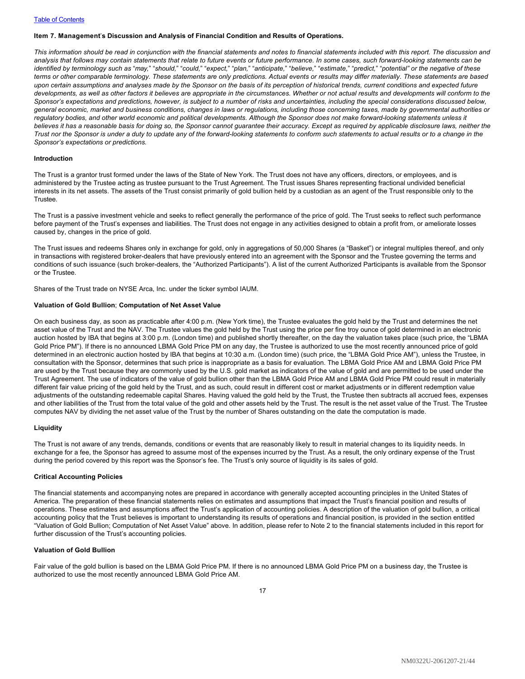#### <span id="page-20-0"></span>**Item 7. Management**'**s Discussion and Analysis of Financial Condition and Results of Operations.**

*This information should be read in conjunction with the financial statements and notes to financial statements included with this report. The discussion and analysis that follows may contain statements that relate to future events or future performance. In some cases, such forward-looking statements can be* identified by terminology such as "may," "should," "could," "expect," "plan," "anticipate," "believe," "estimate," "predict," "potential" or the negative of these *terms or other comparable terminology. These statements are only predictions. Actual events or results may differ materially. These statements are based upon certain assumptions and analyses made by the Sponsor on the basis of its perception of historical trends, current conditions and expected future developments, as well as other factors it believes are appropriate in the circumstances. Whether or not actual results and developments will conform to the Sponsor's expectations and predictions, however, is subject to a number of risks and uncertainties, including the special considerations discussed below, general economic, market and business conditions, changes in laws or regulations, including those concerning taxes, made by governmental authorities or regulatory bodies, and other world economic and political developments. Although the Sponsor does not make forward-looking statements unless it believes it has a reasonable basis for doing so, the Sponsor cannot guarantee their accuracy. Except as required by applicable disclosure laws, neither the Trust nor the Sponsor is under a duty to update any of the forward-looking statements to conform such statements to actual results or to a change in the Sponsor's expectations or predictions.*

#### **Introduction**

The Trust is a grantor trust formed under the laws of the State of New York. The Trust does not have any officers, directors, or employees, and is administered by the Trustee acting as trustee pursuant to the Trust Agreement. The Trust issues Shares representing fractional undivided beneficial interests in its net assets. The assets of the Trust consist primarily of gold bullion held by a custodian as an agent of the Trust responsible only to the Trustee.

The Trust is a passive investment vehicle and seeks to reflect generally the performance of the price of gold. The Trust seeks to reflect such performance before payment of the Trust's expenses and liabilities. The Trust does not engage in any activities designed to obtain a profit from, or ameliorate losses caused by, changes in the price of gold.

The Trust issues and redeems Shares only in exchange for gold, only in aggregations of 50,000 Shares (a "Basket") or integral multiples thereof, and only in transactions with registered broker-dealers that have previously entered into an agreement with the Sponsor and the Trustee governing the terms and conditions of such issuance (such broker-dealers, the "Authorized Participants"). A list of the current Authorized Participants is available from the Sponsor or the Trustee.

Shares of the Trust trade on NYSE Arca, Inc. under the ticker symbol IAUM.

#### **Valuation of Gold Bullion**; **Computation of Net Asset Value**

On each business day, as soon as practicable after 4:00 p.m. (New York time), the Trustee evaluates the gold held by the Trust and determines the net asset value of the Trust and the NAV. The Trustee values the gold held by the Trust using the price per fine troy ounce of gold determined in an electronic auction hosted by IBA that begins at 3:00 p.m. (London time) and published shortly thereafter, on the day the valuation takes place (such price, the "LBMA Gold Price PM"). If there is no announced LBMA Gold Price PM on any day, the Trustee is authorized to use the most recently announced price of gold determined in an electronic auction hosted by IBA that begins at 10:30 a.m. (London time) (such price, the "LBMA Gold Price AM"), unless the Trustee, in consultation with the Sponsor, determines that such price is inappropriate as a basis for evaluation. The LBMA Gold Price AM and LBMA Gold Price PM are used by the Trust because they are commonly used by the U.S. gold market as indicators of the value of gold and are permitted to be used under the Trust Agreement. The use of indicators of the value of gold bullion other than the LBMA Gold Price AM and LBMA Gold Price PM could result in materially different fair value pricing of the gold held by the Trust, and as such, could result in different cost or market adjustments or in different redemption value adjustments of the outstanding redeemable capital Shares. Having valued the gold held by the Trust, the Trustee then subtracts all accrued fees, expenses and other liabilities of the Trust from the total value of the gold and other assets held by the Trust. The result is the net asset value of the Trust. The Trustee computes NAV by dividing the net asset value of the Trust by the number of Shares outstanding on the date the computation is made.

## **Liquidity**

The Trust is not aware of any trends, demands, conditions or events that are reasonably likely to result in material changes to its liquidity needs. In exchange for a fee, the Sponsor has agreed to assume most of the expenses incurred by the Trust. As a result, the only ordinary expense of the Trust during the period covered by this report was the Sponsor's fee. The Trust's only source of liquidity is its sales of gold.

#### **Critical Accounting Policies**

The financial statements and accompanying notes are prepared in accordance with generally accepted accounting principles in the United States of America. The preparation of these financial statements relies on estimates and assumptions that impact the Trust's financial position and results of operations. These estimates and assumptions affect the Trust's application of accounting policies. A description of the valuation of gold bullion, a critical accounting policy that the Trust believes is important to understanding its results of operations and financial position, is provided in the section entitled "Valuation of Gold Bullion; Computation of Net Asset Value" above. In addition, please refer to Note 2 to the financial statements included in this report for further discussion of the Trust's accounting policies.

#### **Valuation of Gold Bullion**

Fair value of the gold bullion is based on the LBMA Gold Price PM. If there is no announced LBMA Gold Price PM on a business day, the Trustee is authorized to use the most recently announced LBMA Gold Price AM.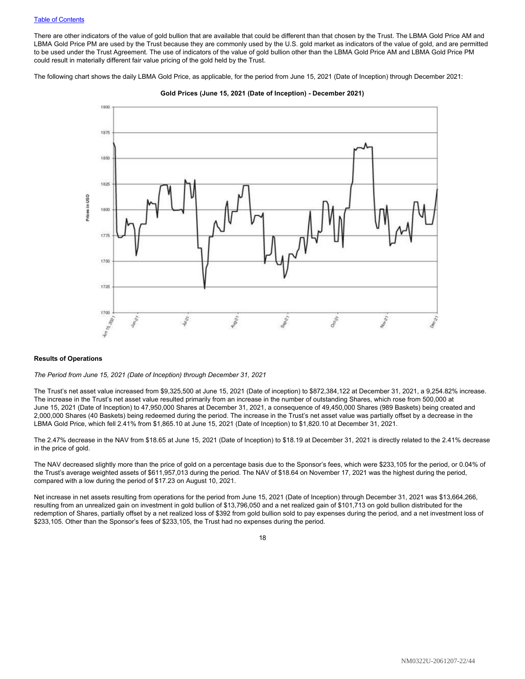#### **[Table of Contents](#page-3-0)**

There are other indicators of the value of gold bullion that are available that could be different than that chosen by the Trust. The LBMA Gold Price AM and LBMA Gold Price PM are used by the Trust because they are commonly used by the U.S. gold market as indicators of the value of gold, and are permitted to be used under the Trust Agreement. The use of indicators of the value of gold bullion other than the LBMA Gold Price AM and LBMA Gold Price PM could result in materially different fair value pricing of the gold held by the Trust.

The following chart shows the daily LBMA Gold Price, as applicable, for the period from June 15, 2021 (Date of Inception) through December 2021:



#### **Gold Prices (June 15, 2021 (Date of Inception) - December 2021)**

#### **Results of Operations**

*The Period from June 15, 2021 (Date of Inception) through December 31, 2021*

The Trust's net asset value increased from \$9,325,500 at June 15, 2021 (Date of inception) to \$872,384,122 at December 31, 2021, a 9,254.82% increase. The increase in the Trust's net asset value resulted primarily from an increase in the number of outstanding Shares, which rose from 500,000 at June 15, 2021 (Date of Inception) to 47,950,000 Shares at December 31, 2021, a consequence of 49,450,000 Shares (989 Baskets) being created and 2,000,000 Shares (40 Baskets) being redeemed during the period. The increase in the Trust's net asset value was partially offset by a decrease in the LBMA Gold Price, which fell 2.41% from \$1,865.10 at June 15, 2021 (Date of Inception) to \$1,820.10 at December 31, 2021.

The 2.47% decrease in the NAV from \$18.65 at June 15, 2021 (Date of Inception) to \$18.19 at December 31, 2021 is directly related to the 2.41% decrease in the price of gold.

The NAV decreased slightly more than the price of gold on a percentage basis due to the Sponsor's fees, which were \$233,105 for the period, or 0.04% of the Trust's average weighted assets of \$611,957,013 during the period. The NAV of \$18.64 on November 17, 2021 was the highest during the period, compared with a low during the period of \$17.23 on August 10, 2021.

Net increase in net assets resulting from operations for the period from June 15, 2021 (Date of Inception) through December 31, 2021 was \$13,664,266, resulting from an unrealized gain on investment in gold bullion of \$13,796,050 and a net realized gain of \$101,713 on gold bullion distributed for the redemption of Shares, partially offset by a net realized loss of \$392 from gold bullion sold to pay expenses during the period, and a net investment loss of \$233,105. Other than the Sponsor's fees of \$233,105, the Trust had no expenses during the period.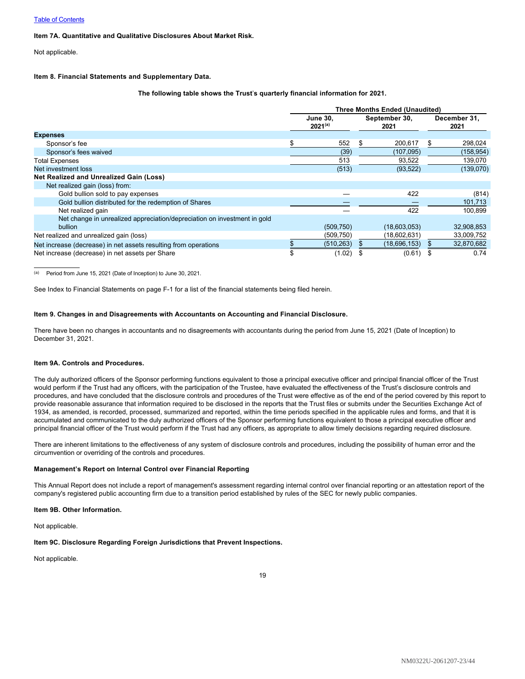#### <span id="page-22-0"></span>**Item 7A. Quantitative and Qualitative Disclosures About Market Risk.**

Not applicable.

# <span id="page-22-1"></span>**Item 8. Financial Statements and Supplementary Data.**

# **The following table shows the Trust**'**s quarterly financial information for 2021.**

|                                                                          | <b>Three Months Ended (Unaudited)</b> |                                 |    |                       |    |                      |
|--------------------------------------------------------------------------|---------------------------------------|---------------------------------|----|-----------------------|----|----------------------|
|                                                                          |                                       | <b>June 30,</b><br>$2021^{(a)}$ |    | September 30,<br>2021 |    | December 31,<br>2021 |
| <b>Expenses</b>                                                          |                                       |                                 |    |                       |    |                      |
| Sponsor's fee                                                            | \$.                                   | 552                             | .ፍ | 200,617               | S. | 298,024              |
| Sponsor's fees waived                                                    |                                       | (39)                            |    | (107, 095)            |    | (158, 954)           |
| <b>Total Expenses</b>                                                    |                                       | 513                             |    | 93,522                |    | 139,070              |
| Net investment loss                                                      |                                       | (513)                           |    | (93, 522)             |    | (139,070)            |
| Net Realized and Unrealized Gain (Loss)                                  |                                       |                                 |    |                       |    |                      |
| Net realized gain (loss) from:                                           |                                       |                                 |    |                       |    |                      |
| Gold bullion sold to pay expenses                                        |                                       |                                 |    | 422                   |    | (814)                |
| Gold bullion distributed for the redemption of Shares                    |                                       |                                 |    |                       |    | 101,713              |
| Net realized gain                                                        |                                       |                                 |    | 422                   |    | 100,899              |
| Net change in unrealized appreciation/depreciation on investment in gold |                                       |                                 |    |                       |    |                      |
| bullion                                                                  |                                       | (509, 750)                      |    | (18,603,053)          |    | 32,908,853           |
| Net realized and unrealized gain (loss)                                  |                                       | (509, 750)                      |    | (18,602,631)          |    | 33,009,752           |
| Net increase (decrease) in net assets resulting from operations          |                                       | (510, 263)                      |    | (18,696,153)          | S  | 32,870,682           |
| Net increase (decrease) in net assets per Share                          | S                                     | (1.02)                          |    | (0.61)                |    | 0.74                 |

(a) Period from June 15, 2021 (Date of Inception) to June 30, 2021.

See Index to Financial Statements on page F-1 for a list of the financial statements being filed herein.

#### <span id="page-22-2"></span>**Item 9. Changes in and Disagreements with Accountants on Accounting and Financial Disclosure.**

There have been no changes in accountants and no disagreements with accountants during the period from June 15, 2021 (Date of Inception) to December 31, 2021.

## <span id="page-22-3"></span>**Item 9A. Controls and Procedures.**

The duly authorized officers of the Sponsor performing functions equivalent to those a principal executive officer and principal financial officer of the Trust would perform if the Trust had any officers, with the participation of the Trustee, have evaluated the effectiveness of the Trust's disclosure controls and procedures, and have concluded that the disclosure controls and procedures of the Trust were effective as of the end of the period covered by this report to provide reasonable assurance that information required to be disclosed in the reports that the Trust files or submits under the Securities Exchange Act of 1934, as amended, is recorded, processed, summarized and reported, within the time periods specified in the applicable rules and forms, and that it is accumulated and communicated to the duly authorized officers of the Sponsor performing functions equivalent to those a principal executive officer and principal financial officer of the Trust would perform if the Trust had any officers, as appropriate to allow timely decisions regarding required disclosure.

There are inherent limitations to the effectiveness of any system of disclosure controls and procedures, including the possibility of human error and the circumvention or overriding of the controls and procedures.

#### **Management's Report on Internal Control over Financial Reporting**

This Annual Report does not include a report of management's assessment regarding internal control over financial reporting or an attestation report of the company's registered public accounting firm due to a transition period established by rules of the SEC for newly public companies.

#### <span id="page-22-4"></span>**Item 9B. Other Information.**

Not applicable.

#### <span id="page-22-5"></span>**Item 9C. Disclosure Regarding Foreign Jurisdictions that Prevent Inspections.**

Not applicable.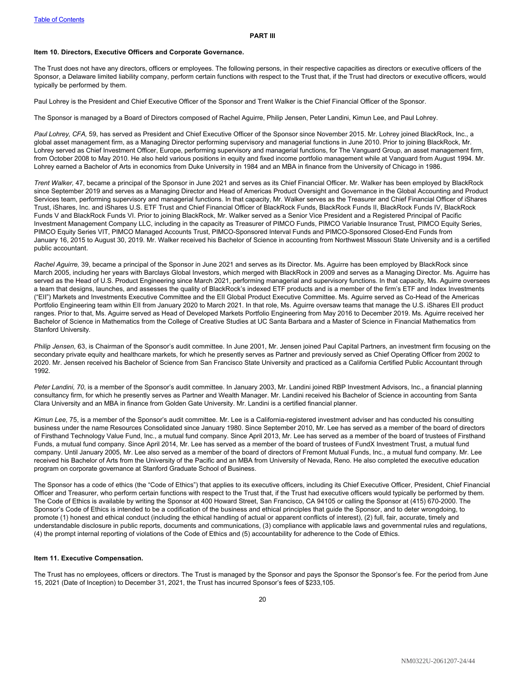#### <span id="page-23-1"></span><span id="page-23-0"></span>**Item 10. Directors, Executive Officers and Corporate Governance.**

The Trust does not have any directors, officers or employees. The following persons, in their respective capacities as directors or executive officers of the Sponsor, a Delaware limited liability company, perform certain functions with respect to the Trust that, if the Trust had directors or executive officers, would typically be performed by them.

Paul Lohrey is the President and Chief Executive Officer of the Sponsor and Trent Walker is the Chief Financial Officer of the Sponsor.

The Sponsor is managed by a Board of Directors composed of Rachel Aguirre, Philip Jensen, Peter Landini, Kimun Lee, and Paul Lohrey.

*Paul Lohrey, CFA,* 59, has served as President and Chief Executive Officer of the Sponsor since November 2015. Mr. Lohrey joined BlackRock, Inc., a global asset management firm, as a Managing Director performing supervisory and managerial functions in June 2010. Prior to joining BlackRock, Mr. Lohrey served as Chief Investment Officer, Europe, performing supervisory and managerial functions, for The Vanguard Group, an asset management firm, from October 2008 to May 2010. He also held various positions in equity and fixed income portfolio management while at Vanguard from August 1994. Mr. Lohrey earned a Bachelor of Arts in economics from Duke University in 1984 and an MBA in finance from the University of Chicago in 1986.

*Trent Walker,* 47, became a principal of the Sponsor in June 2021 and serves as its Chief Financial Officer. Mr. Walker has been employed by BlackRock since September 2019 and serves as a Managing Director and Head of Americas Product Oversight and Governance in the Global Accounting and Product Services team, performing supervisory and managerial functions. In that capacity, Mr. Walker serves as the Treasurer and Chief Financial Officer of iShares Trust, iShares, Inc. and iShares U.S. ETF Trust and Chief Financial Officer of BlackRock Funds, BlackRock Funds II, BlackRock Funds IV, BlackRock Funds V and BlackRock Funds VI. Prior to joining BlackRock, Mr. Walker served as a Senior Vice President and a Registered Principal of Pacific Investment Management Company LLC, including in the capacity as Treasurer of PIMCO Funds, PIMCO Variable Insurance Trust, PIMCO Equity Series, PIMCO Equity Series VIT, PIMCO Managed Accounts Trust, PIMCO-Sponsored Interval Funds and PIMCO-Sponsored Closed-End Funds from January 16, 2015 to August 30, 2019. Mr. Walker received his Bachelor of Science in accounting from Northwest Missouri State University and is a certified public accountant.

*Rachel Aguirre,* 39, became a principal of the Sponsor in June 2021 and serves as its Director. Ms. Aguirre has been employed by BlackRock since March 2005, including her years with Barclays Global Investors, which merged with BlackRock in 2009 and serves as a Managing Director. Ms. Aguirre has served as the Head of U.S. Product Engineering since March 2021, performing managerial and supervisory functions. In that capacity, Ms. Aguirre oversees a team that designs, launches, and assesses the quality of BlackRock's indexed ETF products and is a member of the firm's ETF and Index Investments ("EII") Markets and Investments Executive Committee and the EII Global Product Executive Committee. Ms. Aguirre served as Co-Head of the Americas Portfolio Engineering team within EII from January 2020 to March 2021. In that role, Ms. Aguirre oversaw teams that manage the U.S. iShares EII product ranges. Prior to that, Ms. Aguirre served as Head of Developed Markets Portfolio Engineering from May 2016 to December 2019. Ms. Aguirre received her Bachelor of Science in Mathematics from the College of Creative Studies at UC Santa Barbara and a Master of Science in Financial Mathematics from Stanford University.

*Philip Jensen,* 63, is Chairman of the Sponsor's audit committee. In June 2001, Mr. Jensen joined Paul Capital Partners, an investment firm focusing on the secondary private equity and healthcare markets, for which he presently serves as Partner and previously served as Chief Operating Officer from 2002 to 2020. Mr. Jensen received his Bachelor of Science from San Francisco State University and practiced as a California Certified Public Accountant through 1992.

Peter Landini, 70, is a member of the Sponsor's audit committee. In January 2003, Mr. Landini joined RBP Investment Advisors, Inc., a financial planning consultancy firm, for which he presently serves as Partner and Wealth Manager. Mr. Landini received his Bachelor of Science in accounting from Santa Clara University and an MBA in finance from Golden Gate University. Mr. Landini is a certified financial planner.

*Kimun Lee,* 75, is a member of the Sponsor's audit committee. Mr. Lee is a California-registered investment adviser and has conducted his consulting business under the name Resources Consolidated since January 1980. Since September 2010, Mr. Lee has served as a member of the board of directors of Firsthand Technology Value Fund, Inc., a mutual fund company. Since April 2013, Mr. Lee has served as a member of the board of trustees of Firsthand Funds, a mutual fund company. Since April 2014, Mr. Lee has served as a member of the board of trustees of FundX Investment Trust, a mutual fund company. Until January 2005, Mr. Lee also served as a member of the board of directors of Fremont Mutual Funds, Inc., a mutual fund company. Mr. Lee received his Bachelor of Arts from the University of the Pacific and an MBA from University of Nevada, Reno. He also completed the executive education program on corporate governance at Stanford Graduate School of Business.

The Sponsor has a code of ethics (the "Code of Ethics") that applies to its executive officers, including its Chief Executive Officer, President, Chief Financial Officer and Treasurer, who perform certain functions with respect to the Trust that, if the Trust had executive officers would typically be performed by them. The Code of Ethics is available by writing the Sponsor at 400 Howard Street, San Francisco, CA 94105 or calling the Sponsor at (415) 670-2000. The Sponsor's Code of Ethics is intended to be a codification of the business and ethical principles that guide the Sponsor, and to deter wrongdoing, to promote (1) honest and ethical conduct (including the ethical handling of actual or apparent conflicts of interest), (2) full, fair, accurate, timely and understandable disclosure in public reports, documents and communications, (3) compliance with applicable laws and governmental rules and regulations, (4) the prompt internal reporting of violations of the Code of Ethics and (5) accountability for adherence to the Code of Ethics.

#### <span id="page-23-2"></span>**Item 11. Executive Compensation.**

The Trust has no employees, officers or directors. The Trust is managed by the Sponsor and pays the Sponsor the Sponsor's fee. For the period from June 15, 2021 (Date of Inception) to December 31, 2021, the Trust has incurred Sponsor's fees of \$233,105.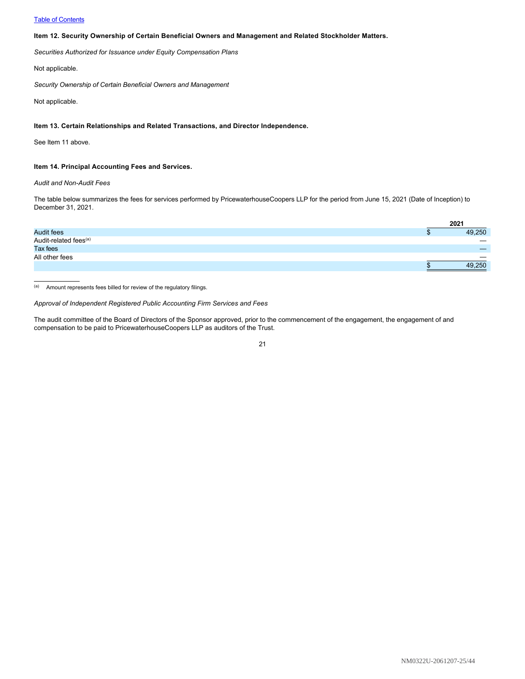# **[Table of Contents](#page-3-0)**

# <span id="page-24-0"></span>**Item 12. Security Ownership of Certain Beneficial Owners and Management and Related Stockholder Matters.**

*Securities Authorized for Issuance under Equity Compensation Plans*

Not applicable.

*Security Ownership of Certain Beneficial Owners and Management*

Not applicable.

# <span id="page-24-1"></span>**Item 13. Certain Relationships and Related Transactions, and Director Independence.**

See Item 11 above.

#### <span id="page-24-2"></span>**Item 14. Principal Accounting Fees and Services.**

*Audit and Non-Audit Fees*

The table below summarizes the fees for services performed by PricewaterhouseCoopers LLP for the period from June 15, 2021 (Date of Inception) to December 31, 2021.

|                                   | 2021   |
|-----------------------------------|--------|
| <b>Audit fees</b>                 | 49,250 |
| Audit-related fees <sup>(a)</sup> | _      |
| Tax fees                          |        |
| All other fees                    | –      |
|                                   | 49,250 |

(a) Amount represents fees billed for review of the regulatory filings.

*Approval of Independent Registered Public Accounting Firm Services and Fees*

The audit committee of the Board of Directors of the Sponsor approved, prior to the commencement of the engagement, the engagement of and compensation to be paid to PricewaterhouseCoopers LLP as auditors of the Trust.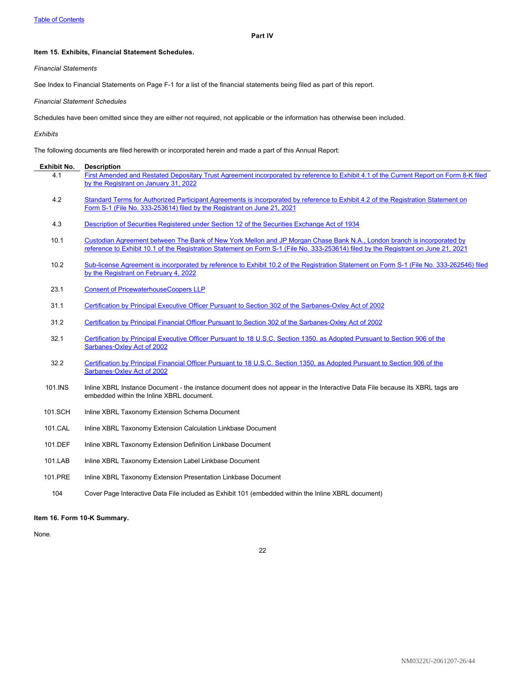# <span id="page-25-1"></span><span id="page-25-0"></span>**Item 15. Exhibits, Financial Statement Schedules.**

# *Financial Statements*

See Index to Financial Statements on Page F-1 for a list of the financial statements being filed as part of this report.

*Financial Statement Schedules*

Schedules have been omitted since they are either not required, not applicable or the information has otherwise been included.

*Exhibits*

The following documents are filed herewith or incorporated herein and made a part of this Annual Report:

| Exhibit No. | <b>Description</b>                                                                                                                                                                                                                                            |
|-------------|---------------------------------------------------------------------------------------------------------------------------------------------------------------------------------------------------------------------------------------------------------------|
| 4.1         | First Amended and Restated Depositary Trust Agreement incorporated by reference to Exhibit 4.1 of the Current Report on Form 8-K filed<br>by the Registrant on January 31, 2022                                                                               |
| 4.2         | Standard Terms for Authorized Participant Agreements is incorporated by reference to Exhibit 4.2 of the Registration Statement on<br>Form S-1 (File No. 333-253614) filed by the Registrant on June 21, 2021                                                  |
| 4.3         | Description of Securities Registered under Section 12 of the Securities Exchange Act of 1934                                                                                                                                                                  |
| 10.1        | Custodian Agreement between The Bank of New York Mellon and JP Morgan Chase Bank N.A., London branch is incorporated by<br>reference to Exhibit 10.1 of the Registration Statement on Form S-1 (File No. 333-253614) filed by the Registrant on June 21, 2021 |
| 10.2        | Sub-license Agreement is incorporated by reference to Exhibit 10.2 of the Registration Statement on Form S-1 (File No. 333-262546) filed<br>by the Registrant on February 4, 2022                                                                             |
| 23.1        | <b>Consent of PricewaterhouseCoopers LLP</b>                                                                                                                                                                                                                  |
| 31.1        | Certification by Principal Executive Officer Pursuant to Section 302 of the Sarbanes-Oxley Act of 2002                                                                                                                                                        |
| 31.2        | Certification by Principal Financial Officer Pursuant to Section 302 of the Sarbanes-Oxley Act of 2002                                                                                                                                                        |
| 32.1        | Certification by Principal Executive Officer Pursuant to 18 U.S.C. Section 1350, as Adopted Pursuant to Section 906 of the<br>Sarbanes-Oxley Act of 2002                                                                                                      |
| 32.2        | Certification by Principal Financial Officer Pursuant to 18 U.S.C. Section 1350, as Adopted Pursuant to Section 906 of the<br>Sarbanes-Oxley Act of 2002                                                                                                      |
| 101.INS     | Inline XBRL Instance Document - the instance document does not appear in the Interactive Data File because its XBRL tags are<br>embedded within the Inline XBRL document.                                                                                     |
| 101.SCH     | Inline XBRL Taxonomy Extension Schema Document                                                                                                                                                                                                                |
| 101.CAL     | Inline XBRL Taxonomy Extension Calculation Linkbase Document                                                                                                                                                                                                  |
| 101.DEF     | Inline XBRL Taxonomy Extension Definition Linkbase Document                                                                                                                                                                                                   |
| 101.LAB     | Inline XBRL Taxonomy Extension Label Linkbase Document                                                                                                                                                                                                        |
| 101.PRE     | Inline XBRL Taxonomy Extension Presentation Linkbase Document                                                                                                                                                                                                 |
| 104         | Cover Page Interactive Data File included as Exhibit 101 (embedded within the Inline XBRL document)                                                                                                                                                           |

# <span id="page-25-2"></span>**Item 16. Form 10-K Summary.**

None.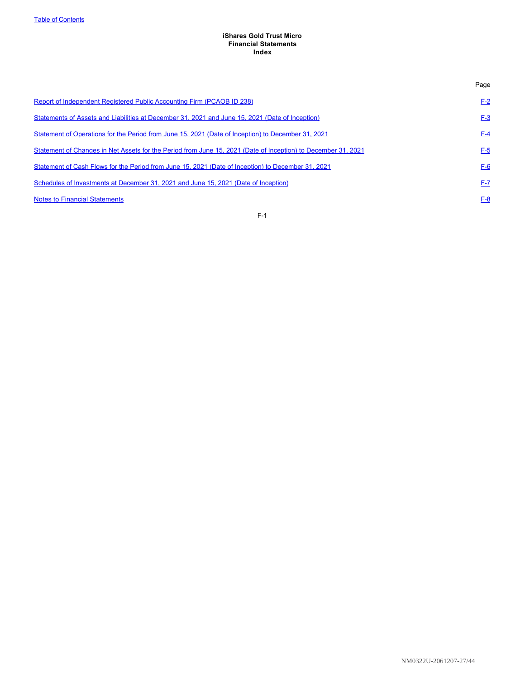# **iShares Gold Trust Micro Financial Statements Index**

|                                                                                                               | Page  |
|---------------------------------------------------------------------------------------------------------------|-------|
| Report of Independent Registered Public Accounting Firm (PCAOB ID 238)                                        | $F-2$ |
| Statements of Assets and Liabilities at December 31, 2021 and June 15, 2021 (Date of Inception)               | $F-3$ |
| Statement of Operations for the Period from June 15, 2021 (Date of Inception) to December 31, 2021            | $F-4$ |
| Statement of Changes in Net Assets for the Period from June 15, 2021 (Date of Inception) to December 31, 2021 | $F-5$ |
| Statement of Cash Flows for the Period from June 15, 2021 (Date of Inception) to December 31, 2021            | $F-6$ |
| Schedules of Investments at December 31, 2021 and June 15, 2021 (Date of Inception)                           | F-7   |
| <b>Notes to Financial Statements</b>                                                                          | $F-8$ |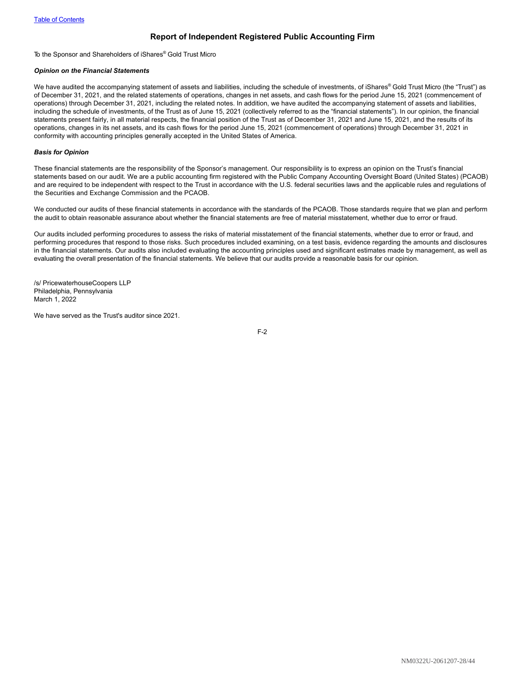# <span id="page-27-0"></span>**Report of Independent Registered Public Accounting Firm**

To the Sponsor and Shareholders of iShares® Gold Trust Micro

#### *Opinion on the Financial Statements*

We have audited the accompanying statement of assets and liabilities, including the schedule of investments, of iShares® Gold Trust Micro (the "Trust") as of December 31, 2021, and the related statements of operations, changes in net assets, and cash flows for the period June 15, 2021 (commencement of operations) through December 31, 2021, including the related notes. In addition, we have audited the accompanying statement of assets and liabilities, including the schedule of investments, of the Trust as of June 15, 2021 (collectively referred to as the "financial statements"). In our opinion, the financial statements present fairly, in all material respects, the financial position of the Trust as of December 31, 2021 and June 15, 2021, and the results of its operations, changes in its net assets, and its cash flows for the period June 15, 2021 (commencement of operations) through December 31, 2021 in conformity with accounting principles generally accepted in the United States of America.

# *Basis for Opinion*

These financial statements are the responsibility of the Sponsor's management. Our responsibility is to express an opinion on the Trust's financial statements based on our audit. We are a public accounting firm registered with the Public Company Accounting Oversight Board (United States) (PCAOB) and are required to be independent with respect to the Trust in accordance with the U.S. federal securities laws and the applicable rules and regulations of the Securities and Exchange Commission and the PCAOB.

We conducted our audits of these financial statements in accordance with the standards of the PCAOB. Those standards require that we plan and perform the audit to obtain reasonable assurance about whether the financial statements are free of material misstatement, whether due to error or fraud.

Our audits included performing procedures to assess the risks of material misstatement of the financial statements, whether due to error or fraud, and performing procedures that respond to those risks. Such procedures included examining, on a test basis, evidence regarding the amounts and disclosures in the financial statements. Our audits also included evaluating the accounting principles used and significant estimates made by management, as well as evaluating the overall presentation of the financial statements. We believe that our audits provide a reasonable basis for our opinion.

/s/ PricewaterhouseCoopers LLP Philadelphia, Pennsylvania March 1, 2022

We have served as the Trust's auditor since 2021.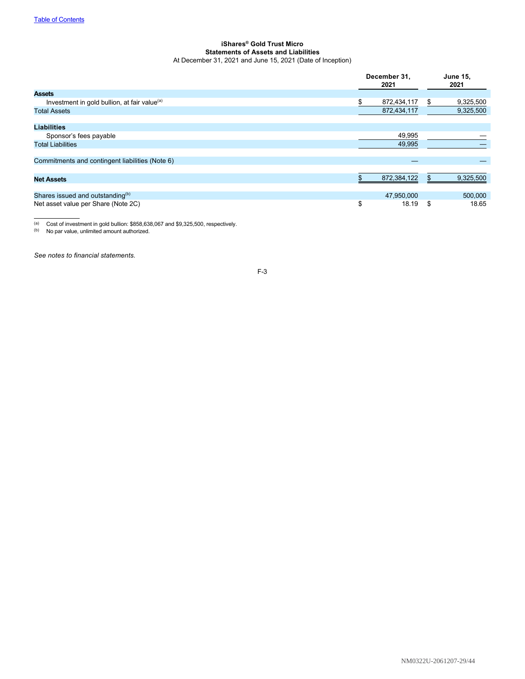# <span id="page-28-0"></span>**iShares® Gold Trust Micro Statements of Assets and Liabilities** At December 31, 2021 and June 15, 2021 (Date of Inception)

|                                                          |     | December 31,<br>2021 |    | <b>June 15,</b><br>2021 |
|----------------------------------------------------------|-----|----------------------|----|-------------------------|
| <b>Assets</b>                                            |     |                      |    |                         |
| Investment in gold bullion, at fair value <sup>(a)</sup> | \$. | 872,434,117          | S  | 9,325,500               |
| <b>Total Assets</b>                                      |     | 872,434,117          |    | 9,325,500               |
|                                                          |     |                      |    |                         |
| <b>Liabilities</b>                                       |     |                      |    |                         |
| Sponsor's fees payable                                   |     | 49,995               |    |                         |
| <b>Total Liabilities</b>                                 |     | 49,995               |    |                         |
|                                                          |     |                      |    |                         |
| Commitments and contingent liabilities (Note 6)          |     |                      |    |                         |
|                                                          |     |                      |    |                         |
| <b>Net Assets</b>                                        |     | 872,384,122          |    | 9,325,500               |
|                                                          |     |                      |    |                         |
| Shares issued and outstanding <sup>(b)</sup>             |     | 47,950,000           |    | 500,000                 |
| Net asset value per Share (Note 2C)                      | \$  | 18.19                | \$ | 18.65                   |

(a) Cost of investment in gold bullion: \$858,638,067 and \$9,325,500, respectively.

(b) No par value, unlimited amount authorized.

*See notes to financial statements.*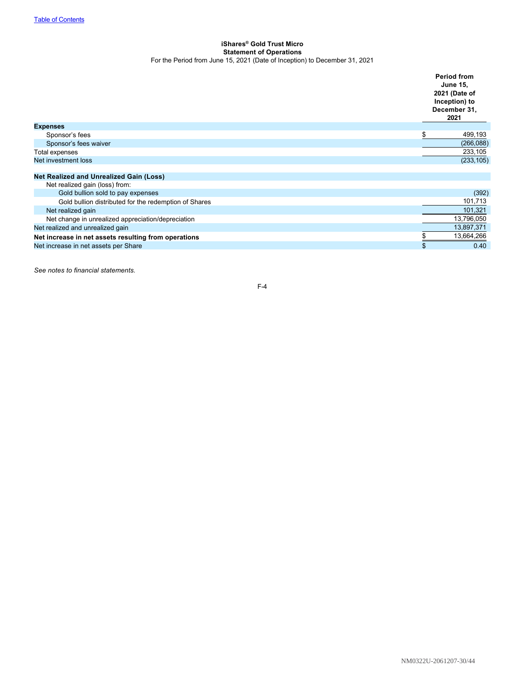# <span id="page-29-0"></span>**iShares® Gold Trust Micro Statement of Operations** For the Period from June 15, 2021 (Date of Inception) to December 31, 2021

|                                                       | Period from<br><b>June 15,</b><br>2021 (Date of<br>Inception) to<br>December 31,<br>2021 |
|-------------------------------------------------------|------------------------------------------------------------------------------------------|
| <b>Expenses</b>                                       |                                                                                          |
| Sponsor's fees                                        | 499,193<br>\$                                                                            |
| Sponsor's fees waiver                                 | (266, 088)                                                                               |
| Total expenses                                        | 233,105                                                                                  |
| Net investment loss                                   | (233, 105)                                                                               |
| <b>Net Realized and Unrealized Gain (Loss)</b>        |                                                                                          |
| Net realized gain (loss) from:                        |                                                                                          |
| Gold bullion sold to pay expenses                     | (392)                                                                                    |
| Gold bullion distributed for the redemption of Shares | 101,713                                                                                  |
| Net realized gain                                     | 101,321                                                                                  |
| Net change in unrealized appreciation/depreciation    | 13,796,050                                                                               |
| Net realized and unrealized gain                      | 13,897,371                                                                               |
| Net increase in net assets resulting from operations  | \$<br>13,664,266                                                                         |
| Net increase in net assets per Share                  | 0.40<br>\$                                                                               |

*See notes to financial statements.*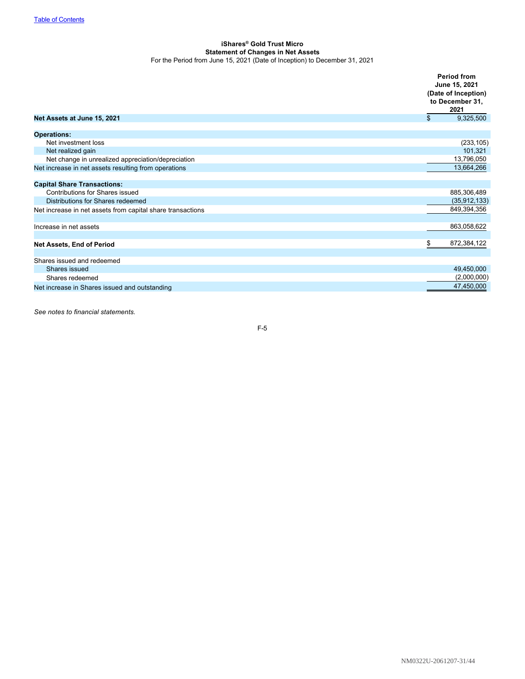# <span id="page-30-0"></span>**iShares® Gold Trust Micro Statement of Changes in Net Assets** For the Period from June 15, 2021 (Date of Inception) to December 31, 2021

|                                                            | <b>Period from</b><br>June 15, 2021<br>(Date of Inception)<br>to December 31,<br>2021 |
|------------------------------------------------------------|---------------------------------------------------------------------------------------|
| Net Assets at June 15, 2021                                | \$<br>9,325,500                                                                       |
| <b>Operations:</b>                                         |                                                                                       |
| Net investment loss                                        | (233, 105)                                                                            |
| Net realized gain                                          | 101,321                                                                               |
| Net change in unrealized appreciation/depreciation         | 13,796,050                                                                            |
| Net increase in net assets resulting from operations       | 13,664,266                                                                            |
| <b>Capital Share Transactions:</b>                         |                                                                                       |
| Contributions for Shares issued                            | 885,306,489                                                                           |
| Distributions for Shares redeemed                          | (35, 912, 133)                                                                        |
| Net increase in net assets from capital share transactions | 849,394,356                                                                           |
| Increase in net assets                                     | 863,058,622                                                                           |
| <b>Net Assets, End of Period</b>                           | 872,384,122<br>S                                                                      |
|                                                            |                                                                                       |
| Shares issued and redeemed                                 |                                                                                       |
| Shares issued                                              | 49,450,000                                                                            |
| Shares redeemed                                            | (2,000,000)                                                                           |
| Net increase in Shares issued and outstanding              | 47,450,000                                                                            |

*See notes to financial statements.*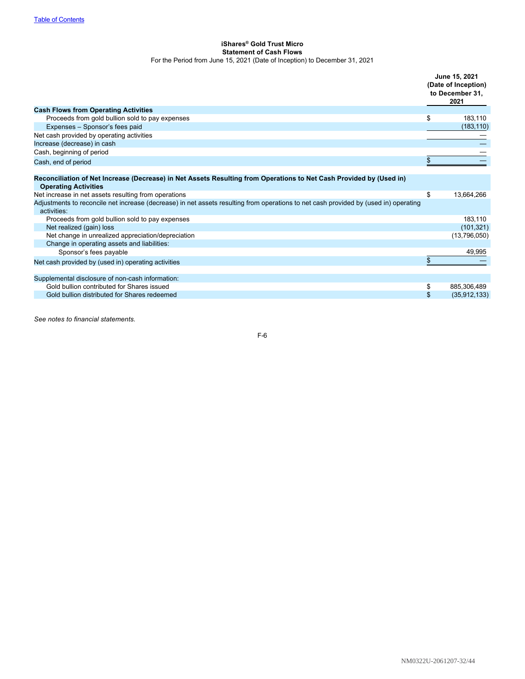# <span id="page-31-0"></span>**iShares® Gold Trust Micro Statement of Cash Flows**

For the Period from June 15, 2021 (Date of Inception) to December 31, 2021

|                                                                                                                                                     | June 15, 2021<br>(Date of Inception)<br>to December 31,<br>2021 |
|-----------------------------------------------------------------------------------------------------------------------------------------------------|-----------------------------------------------------------------|
| <b>Cash Flows from Operating Activities</b>                                                                                                         |                                                                 |
| Proceeds from gold bullion sold to pay expenses                                                                                                     | \$<br>183,110                                                   |
| Expenses - Sponsor's fees paid                                                                                                                      | (183, 110)                                                      |
| Net cash provided by operating activities                                                                                                           |                                                                 |
| Increase (decrease) in cash                                                                                                                         |                                                                 |
| Cash, beginning of period                                                                                                                           |                                                                 |
| Cash, end of period                                                                                                                                 |                                                                 |
|                                                                                                                                                     |                                                                 |
| Reconciliation of Net Increase (Decrease) in Net Assets Resulting from Operations to Net Cash Provided by (Used in)<br><b>Operating Activities</b>  |                                                                 |
| Net increase in net assets resulting from operations                                                                                                | \$<br>13,664,266                                                |
| Adjustments to reconcile net increase (decrease) in net assets resulting from operations to net cash provided by (used in) operating<br>activities: |                                                                 |
| Proceeds from gold bullion sold to pay expenses                                                                                                     | 183,110                                                         |
| Net realized (gain) loss                                                                                                                            | (101, 321)                                                      |
| Net change in unrealized appreciation/depreciation                                                                                                  | (13,796,050)                                                    |
| Change in operating assets and liabilities:                                                                                                         |                                                                 |
| Sponsor's fees payable                                                                                                                              | 49,995                                                          |
| Net cash provided by (used in) operating activities                                                                                                 |                                                                 |
|                                                                                                                                                     |                                                                 |
| Supplemental disclosure of non-cash information:                                                                                                    |                                                                 |
| Gold bullion contributed for Shares issued                                                                                                          | \$<br>885,306,489                                               |
| Gold bullion distributed for Shares redeemed                                                                                                        | \$<br>(35, 912, 133)                                            |

*See notes to financial statements.*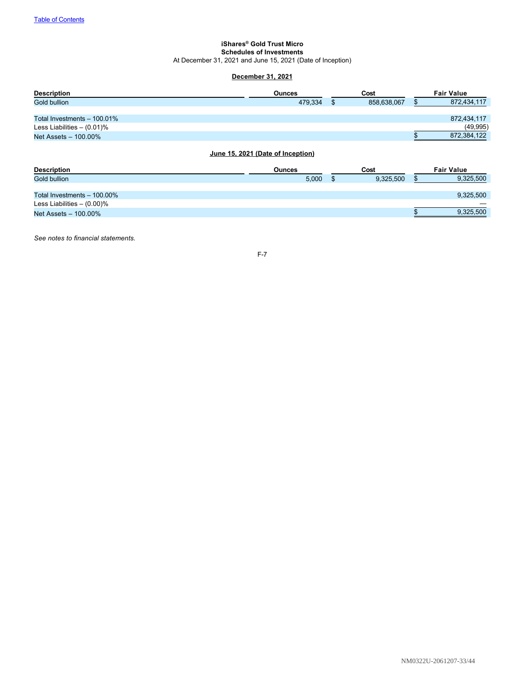# **iShares® Gold Trust Micro Schedules of Investments** At December 31, 2021 and June 15, 2021 (Date of Inception)

# <span id="page-32-0"></span>**December 31, 2021**

| <b>Description</b>            | <b>Ounces</b>                     | Cost             | <b>Fair Value</b> |
|-------------------------------|-----------------------------------|------------------|-------------------|
| Gold bullion                  | 479,334                           | 858,638,067<br>S | 872,434,117       |
|                               |                                   |                  |                   |
| Total Investments $-100.01\%$ |                                   |                  | 872,434,117       |
| Less Liabilities $-$ (0.01)%  |                                   |                  | (49, 995)         |
| Net Assets - 100.00%          |                                   |                  | 872,384,122       |
|                               | June 15, 2021 (Date of Inception) |                  |                   |
| <b>Description</b>            | <b>Ounces</b>                     | Cost             | <b>Fair Value</b> |
| Gold bullion                  | 5,000                             | 9,325,500<br>S   | 9,325,500         |
|                               |                                   |                  |                   |

| Total Investments - 100.00%  | 9.325.500 |
|------------------------------|-----------|
| Less Liabilities $-$ (0.00)% |           |
| Net Assets – 100.00%         | 9 325 500 |

*See notes to financial statements.*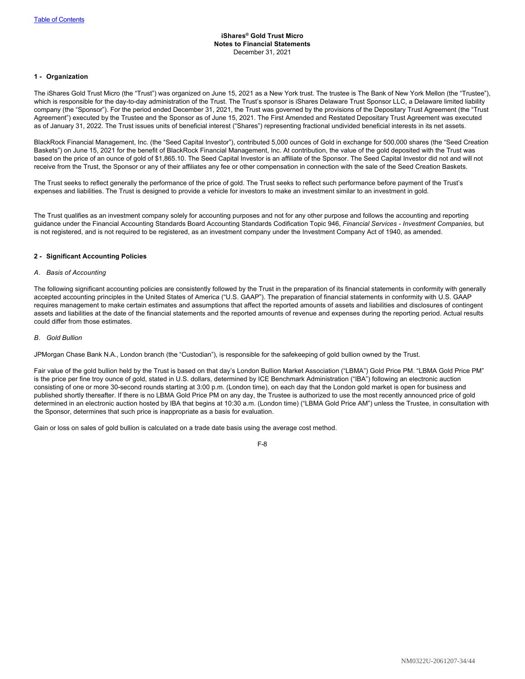# <span id="page-33-0"></span>**iShares® Gold Trust Micro Notes to Financial Statements** December 31, 2021

# **1 - Organization**

The iShares Gold Trust Micro (the "Trust") was organized on June 15, 2021 as a New York trust. The trustee is The Bank of New York Mellon (the "Trustee"), which is responsible for the day-to-day administration of the Trust. The Trust's sponsor is iShares Delaware Trust Sponsor LLC, a Delaware limited liability company (the "Sponsor"). For the period ended December 31, 2021, the Trust was governed by the provisions of the Depositary Trust Agreement (the "Trust Agreement") executed by the Trustee and the Sponsor as of June 15, 2021. The First Amended and Restated Depositary Trust Agreement was executed as of January 31, 2022. The Trust issues units of beneficial interest ("Shares") representing fractional undivided beneficial interests in its net assets.

BlackRock Financial Management, Inc. (the "Seed Capital Investor"), contributed 5,000 ounces of Gold in exchange for 500,000 shares (the "Seed Creation Baskets") on June 15, 2021 for the benefit of BlackRock Financial Management, Inc. At contribution, the value of the gold deposited with the Trust was based on the price of an ounce of gold of \$1,865.10. The Seed Capital Investor is an affiliate of the Sponsor. The Seed Capital Investor did not and will not receive from the Trust, the Sponsor or any of their affiliates any fee or other compensation in connection with the sale of the Seed Creation Baskets.

The Trust seeks to reflect generally the performance of the price of gold. The Trust seeks to reflect such performance before payment of the Trust's expenses and liabilities. The Trust is designed to provide a vehicle for investors to make an investment similar to an investment in gold.

The Trust qualifies as an investment company solely for accounting purposes and not for any other purpose and follows the accounting and reporting guidance under the Financial Accounting Standards Board Accounting Standards Codification Topic 946, *Financial Services - Investment Companies,* but is not registered, and is not required to be registered, as an investment company under the Investment Company Act of 1940, as amended.

# **2 - Significant Accounting Policies**

# *A. Basis of Accounting*

The following significant accounting policies are consistently followed by the Trust in the preparation of its financial statements in conformity with generally accepted accounting principles in the United States of America ("U.S. GAAP"). The preparation of financial statements in conformity with U.S. GAAP requires management to make certain estimates and assumptions that affect the reported amounts of assets and liabilities and disclosures of contingent assets and liabilities at the date of the financial statements and the reported amounts of revenue and expenses during the reporting period. Actual results could differ from those estimates.

#### *B. Gold Bullion*

JPMorgan Chase Bank N.A., London branch (the "Custodian"), is responsible for the safekeeping of gold bullion owned by the Trust.

Fair value of the gold bullion held by the Trust is based on that day's London Bullion Market Association ("LBMA") Gold Price PM. "LBMA Gold Price PM" is the price per fine troy ounce of gold, stated in U.S. dollars, determined by ICE Benchmark Administration ("IBA") following an electronic auction consisting of one or more 30-second rounds starting at 3:00 p.m. (London time), on each day that the London gold market is open for business and published shortly thereafter. If there is no LBMA Gold Price PM on any day, the Trustee is authorized to use the most recently announced price of gold determined in an electronic auction hosted by IBA that begins at 10:30 a.m. (London time) ("LBMA Gold Price AM") unless the Trustee, in consultation with the Sponsor, determines that such price is inappropriate as a basis for evaluation.

Gain or loss on sales of gold bullion is calculated on a trade date basis using the average cost method.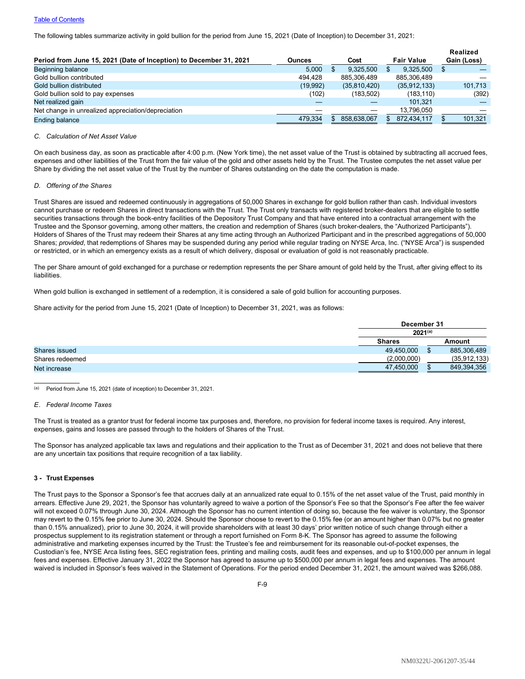#### **[Table of Contents](#page-3-0)**

The following tables summarize activity in gold bullion for the period from June 15, 2021 (Date of Inception) to December 31, 2021:

|                                                                    |               |              |                   | Realized    |
|--------------------------------------------------------------------|---------------|--------------|-------------------|-------------|
| Period from June 15, 2021 (Date of Inception) to December 31, 2021 | <b>Ounces</b> | Cost         | <b>Fair Value</b> | Gain (Loss) |
| Beginning balance                                                  | 5.000         | 9.325.500    | 9,325,500         |             |
| Gold bullion contributed                                           | 494.428       | 885,306,489  | 885,306,489       |             |
| Gold bullion distributed                                           | (19,992)      | (35,810,420) | (35, 912, 133)    | 101,713     |
| Gold bullion sold to pay expenses                                  | (102)         | (183, 502)   | (183, 110)        | (392)       |
| Net realized gain                                                  |               |              | 101.321           |             |
| Net change in unrealized appreciation/depreciation                 |               |              | 13,796,050        |             |
| <b>Ending balance</b>                                              | 479.334       | 858.638.067  | 872,434,117       | 101,321     |

# *C. Calculation of Net Asset Value*

On each business day, as soon as practicable after 4:00 p.m. (New York time), the net asset value of the Trust is obtained by subtracting all accrued fees, expenses and other liabilities of the Trust from the fair value of the gold and other assets held by the Trust. The Trustee computes the net asset value per Share by dividing the net asset value of the Trust by the number of Shares outstanding on the date the computation is made.

#### *D. Offering of the Shares*

Trust Shares are issued and redeemed continuously in aggregations of 50,000 Shares in exchange for gold bullion rather than cash. Individual investors cannot purchase or redeem Shares in direct transactions with the Trust. The Trust only transacts with registered broker-dealers that are eligible to settle securities transactions through the book-entry facilities of the Depository Trust Company and that have entered into a contractual arrangement with the Trustee and the Sponsor governing, among other matters, the creation and redemption of Shares (such broker-dealers, the "Authorized Participants"). Holders of Shares of the Trust may redeem their Shares at any time acting through an Authorized Participant and in the prescribed aggregations of 50,000 Shares; *provided*, that redemptions of Shares may be suspended during any period while regular trading on NYSE Arca, Inc. ("NYSE Arca") is suspended or restricted, or in which an emergency exists as a result of which delivery, disposal or evaluation of gold is not reasonably practicable.

The per Share amount of gold exchanged for a purchase or redemption represents the per Share amount of gold held by the Trust, after giving effect to its liabilities.

When gold bullion is exchanged in settlement of a redemption, it is considered a sale of gold bullion for accounting purposes.

Share activity for the period from June 15, 2021 (Date of Inception) to December 31, 2021, was as follows:

|                 | December 31   |  |                |
|-----------------|---------------|--|----------------|
|                 | $2021^{(a)}$  |  |                |
|                 | <b>Shares</b> |  | Amount         |
| Shares issued   | 49,450,000    |  | 885,306,489    |
| Shares redeemed | (2,000,000)   |  | (35, 912, 133) |
| Net increase    | 47,450,000    |  | 849,394,356    |

(a) Period from June 15, 2021 (date of inception) to December 31, 2021.

#### *E. Federal Income Taxes*

The Trust is treated as a grantor trust for federal income tax purposes and, therefore, no provision for federal income taxes is required. Any interest, expenses, gains and losses are passed through to the holders of Shares of the Trust.

The Sponsor has analyzed applicable tax laws and regulations and their application to the Trust as of December 31, 2021 and does not believe that there are any uncertain tax positions that require recognition of a tax liability.

#### **3 - Trust Expenses**

The Trust pays to the Sponsor a Sponsor's fee that accrues daily at an annualized rate equal to 0.15% of the net asset value of the Trust, paid monthly in arrears. Effective June 29, 2021, the Sponsor has voluntarily agreed to waive a portion of the Sponsor's Fee so that the Sponsor's Fee after the fee waiver will not exceed 0.07% through June 30, 2024. Although the Sponsor has no current intention of doing so, because the fee waiver is voluntary, the Sponsor may revert to the 0.15% fee prior to June 30, 2024. Should the Sponsor choose to revert to the 0.15% fee (or an amount higher than 0.07% but no greater than 0.15% annualized), prior to June 30, 2024, it will provide shareholders with at least 30 days' prior written notice of such change through either a prospectus supplement to its registration statement or through a report furnished on Form 8-K. The Sponsor has agreed to assume the following administrative and marketing expenses incurred by the Trust: the Trustee's fee and reimbursement for its reasonable out-of-pocket expenses, the Custodian's fee, NYSE Arca listing fees, SEC registration fees, printing and mailing costs, audit fees and expenses, and up to \$100,000 per annum in legal fees and expenses. Effective January 31, 2022 the Sponsor has agreed to assume up to \$500,000 per annum in legal fees and expenses. The amount waived is included in Sponsor's fees waived in the Statement of Operations. For the period ended December 31, 2021, the amount waived was \$266,088.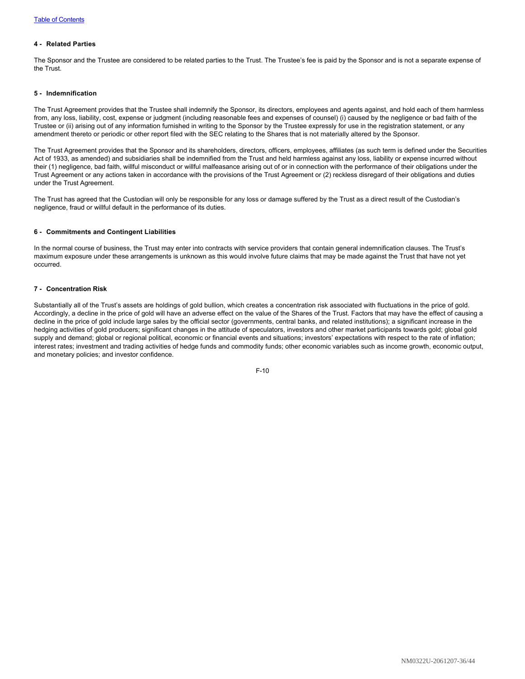# **4 - Related Parties**

The Sponsor and the Trustee are considered to be related parties to the Trust. The Trustee's fee is paid by the Sponsor and is not a separate expense of the Trust.

# **5 - Indemnification**

The Trust Agreement provides that the Trustee shall indemnify the Sponsor, its directors, employees and agents against, and hold each of them harmless from, any loss, liability, cost, expense or judgment (including reasonable fees and expenses of counsel) (i) caused by the negligence or bad faith of the Trustee or (ii) arising out of any information furnished in writing to the Sponsor by the Trustee expressly for use in the registration statement, or any amendment thereto or periodic or other report filed with the SEC relating to the Shares that is not materially altered by the Sponsor.

The Trust Agreement provides that the Sponsor and its shareholders, directors, officers, employees, affiliates (as such term is defined under the Securities Act of 1933, as amended) and subsidiaries shall be indemnified from the Trust and held harmless against any loss, liability or expense incurred without their (1) negligence, bad faith, willful misconduct or willful malfeasance arising out of or in connection with the performance of their obligations under the Trust Agreement or any actions taken in accordance with the provisions of the Trust Agreement or (2) reckless disregard of their obligations and duties under the Trust Agreement.

The Trust has agreed that the Custodian will only be responsible for any loss or damage suffered by the Trust as a direct result of the Custodian's negligence, fraud or willful default in the performance of its duties.

#### **6 - Commitments and Contingent Liabilities**

In the normal course of business, the Trust may enter into contracts with service providers that contain general indemnification clauses. The Trust's maximum exposure under these arrangements is unknown as this would involve future claims that may be made against the Trust that have not yet occurred.

# **7 - Concentration Risk**

Substantially all of the Trust's assets are holdings of gold bullion, which creates a concentration risk associated with fluctuations in the price of gold. Accordingly, a decline in the price of gold will have an adverse effect on the value of the Shares of the Trust. Factors that may have the effect of causing a decline in the price of gold include large sales by the official sector (governments, central banks, and related institutions); a significant increase in the hedging activities of gold producers; significant changes in the attitude of speculators, investors and other market participants towards gold; global gold supply and demand; global or regional political, economic or financial events and situations; investors' expectations with respect to the rate of inflation; interest rates; investment and trading activities of hedge funds and commodity funds; other economic variables such as income growth, economic output, and monetary policies; and investor confidence.

| ×<br>۰. |  |
|---------|--|
|---------|--|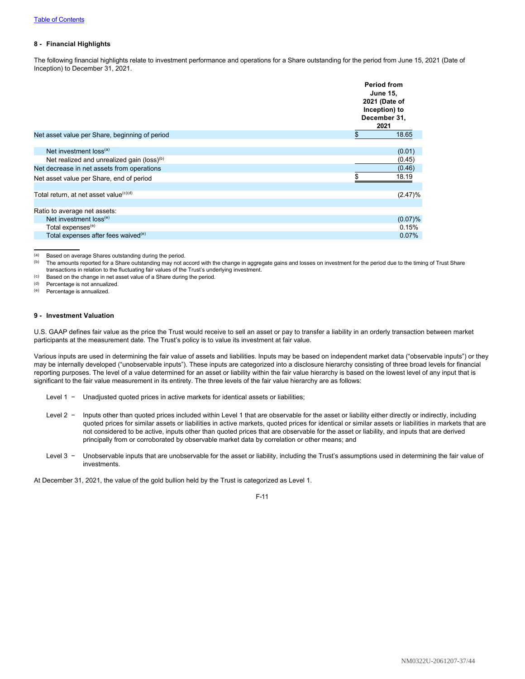# **8 - Financial Highlights**

The following financial highlights relate to investment performance and operations for a Share outstanding for the period from June 15, 2021 (Date of Inception) to December 31, 2021.

|                                                                                       | <b>Period from</b><br><b>June 15,</b><br>2021 (Date of<br>Inception) to<br>December 31.<br>2021 |  |  |
|---------------------------------------------------------------------------------------|-------------------------------------------------------------------------------------------------|--|--|
| Net asset value per Share, beginning of period                                        | 18.65                                                                                           |  |  |
| Net investment $loss^{(a)}$<br>Net realized and unrealized gain (loss) <sup>(b)</sup> | (0.01)<br>(0.45)                                                                                |  |  |
| Net decrease in net assets from operations                                            | (0.46)                                                                                          |  |  |
| Net asset value per Share, end of period                                              | 18.19                                                                                           |  |  |
| Total return, at net asset value <sup>(c)(d)</sup>                                    | (2.47)%                                                                                         |  |  |
| Ratio to average net assets:                                                          |                                                                                                 |  |  |
| Net investment loss <sup>(e)</sup>                                                    | (0.07)%                                                                                         |  |  |
| Total expenses <sup>(e)</sup>                                                         | 0.15%                                                                                           |  |  |
| Total expenses after fees waived <sup>(e)</sup>                                       | 0.07%                                                                                           |  |  |

(a) Based on average Shares outstanding during the period.<br>(b) The amounts reported for a Share outstanding may not a

The amounts reported for a Share outstanding may not accord with the change in aggregate gains and losses on investment for the period due to the timing of Trust Share transactions in relation to the fluctuating fair values of the Trust's underlying investment.

(c) Based on the change in net asset value of a Share during the period.

 $\begin{array}{ll}\n\text{(d)} & \text{Percentage is not annualized.} \\
\text{(e)} & \text{Percentage is annualized.}\n\end{array}$ Percentage is annualized.

# **9 - Investment Valuation**

U.S. GAAP defines fair value as the price the Trust would receive to sell an asset or pay to transfer a liability in an orderly transaction between market participants at the measurement date. The Trust's policy is to value its investment at fair value.

Various inputs are used in determining the fair value of assets and liabilities. Inputs may be based on independent market data ("observable inputs") or they may be internally developed ("unobservable inputs"). These inputs are categorized into a disclosure hierarchy consisting of three broad levels for financial reporting purposes. The level of a value determined for an asset or liability within the fair value hierarchy is based on the lowest level of any input that is significant to the fair value measurement in its entirety. The three levels of the fair value hierarchy are as follows:

- Level 1 Unadjusted quoted prices in active markets for identical assets or liabilities;
- Level 2 Inputs other than quoted prices included within Level 1 that are observable for the asset or liability either directly or indirectly, including quoted prices for similar assets or liabilities in active markets, quoted prices for identical or similar assets or liabilities in markets that are not considered to be active, inputs other than quoted prices that are observable for the asset or liability, and inputs that are derived principally from or corroborated by observable market data by correlation or other means; and
- Level 3 Unobservable inputs that are unobservable for the asset or liability, including the Trust's assumptions used in determining the fair value of investments.

At December 31, 2021, the value of the gold bullion held by the Trust is categorized as Level 1.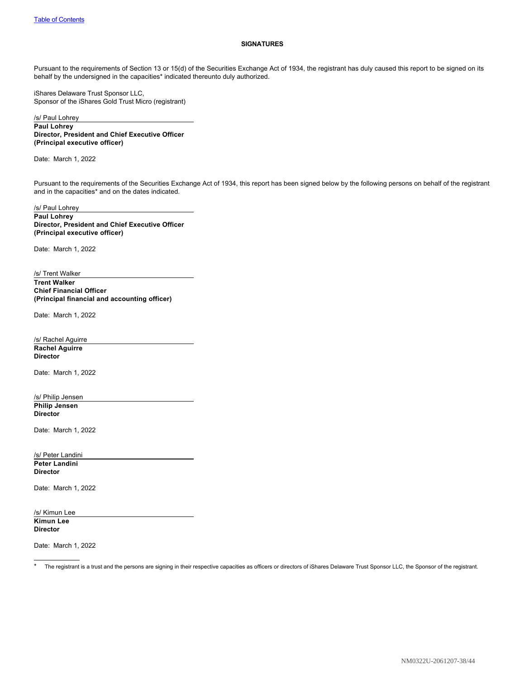# **SIGNATURES**

Pursuant to the requirements of Section 13 or 15(d) of the Securities Exchange Act of 1934, the registrant has duly caused this report to be signed on its behalf by the undersigned in the capacities\* indicated thereunto duly authorized.

iShares Delaware Trust Sponsor LLC, Sponsor of the iShares Gold Trust Micro (registrant)

/s/ Paul Lohrey **Paul Lohrey Director, President and Chief Executive Officer (Principal executive officer)**

Date: March 1, 2022

Pursuant to the requirements of the Securities Exchange Act of 1934, this report has been signed below by the following persons on behalf of the registrant and in the capacities\* and on the dates indicated.

/s/ Paul Lohrey **Paul Lohrey Director, President and Chief Executive Officer (Principal executive officer)**

Date: March 1, 2022

/s/ Trent Walker

**Trent Walker Chief Financial Officer (Principal financial and accounting officer)**

Date: March 1, 2022

/s/ Rachel Aguirre **Rachel Aguirre Director**

Date: March 1, 2022

/s/ Philip Jensen **Philip Jensen**

**Director**

Date: March 1, 2022

/s/ Peter Landini **Peter Landini Director**

Date: March 1, 2022

/s/ Kimun Lee **Kimun Lee Director**

Date: March 1, 2022

The registrant is a trust and the persons are signing in their respective capacities as officers or directors of iShares Delaware Trust Sponsor LLC, the Sponsor of the registrant.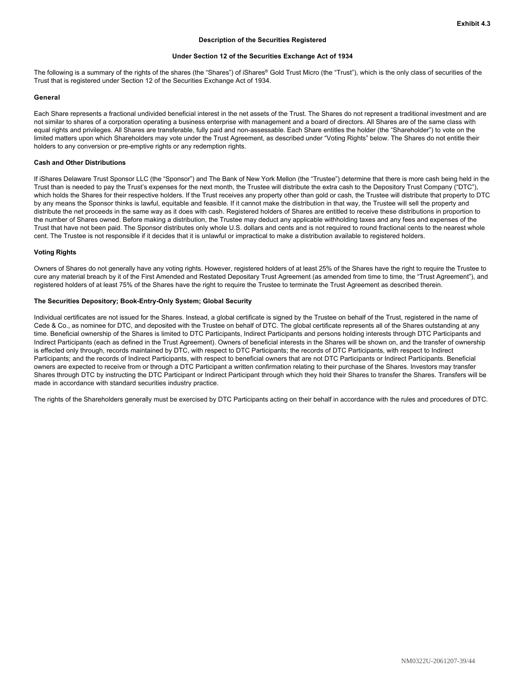#### **Description of the Securities Registered**

#### **Under Section 12 of the Securities Exchange Act of 1934**

<span id="page-38-0"></span>The following is a summary of the rights of the shares (the "Shares") of iShares® Gold Trust Micro (the "Trust"), which is the only class of securities of the Trust that is registered under Section 12 of the Securities Exchange Act of 1934.

#### **General**

Each Share represents a fractional undivided beneficial interest in the net assets of the Trust. The Shares do not represent a traditional investment and are not similar to shares of a corporation operating a business enterprise with management and a board of directors. All Shares are of the same class with equal rights and privileges. All Shares are transferable, fully paid and non-assessable. Each Share entitles the holder (the "Shareholder") to vote on the limited matters upon which Shareholders may vote under the Trust Agreement, as described under "Voting Rights" below. The Shares do not entitle their holders to any conversion or pre-emptive rights or any redemption rights.

#### **Cash and Other Distributions**

If iShares Delaware Trust Sponsor LLC (the "Sponsor") and The Bank of New York Mellon (the "Trustee") determine that there is more cash being held in the Trust than is needed to pay the Trust's expenses for the next month, the Trustee will distribute the extra cash to the Depository Trust Company ("DTC"), which holds the Shares for their respective holders. If the Trust receives any property other than gold or cash, the Trustee will distribute that property to DTC by any means the Sponsor thinks is lawful, equitable and feasible. If it cannot make the distribution in that way, the Trustee will sell the property and distribute the net proceeds in the same way as it does with cash. Registered holders of Shares are entitled to receive these distributions in proportion to the number of Shares owned. Before making a distribution, the Trustee may deduct any applicable withholding taxes and any fees and expenses of the Trust that have not been paid. The Sponsor distributes only whole U.S. dollars and cents and is not required to round fractional cents to the nearest whole cent. The Trustee is not responsible if it decides that it is unlawful or impractical to make a distribution available to registered holders.

# **Voting Rights**

Owners of Shares do not generally have any voting rights. However, registered holders of at least 25% of the Shares have the right to require the Trustee to cure any material breach by it of the First Amended and Restated Depositary Trust Agreement (as amended from time to time, the "Trust Agreement"), and registered holders of at least 75% of the Shares have the right to require the Trustee to terminate the Trust Agreement as described therein.

# **The Securities Depository; Book-Entry-Only System; Global Security**

Individual certificates are not issued for the Shares. Instead, a global certificate is signed by the Trustee on behalf of the Trust, registered in the name of Cede & Co., as nominee for DTC, and deposited with the Trustee on behalf of DTC. The global certificate represents all of the Shares outstanding at any time. Beneficial ownership of the Shares is limited to DTC Participants, Indirect Participants and persons holding interests through DTC Participants and Indirect Participants (each as defined in the Trust Agreement). Owners of beneficial interests in the Shares will be shown on, and the transfer of ownership is effected only through, records maintained by DTC, with respect to DTC Participants; the records of DTC Participants, with respect to Indirect Participants; and the records of Indirect Participants, with respect to beneficial owners that are not DTC Participants or Indirect Participants. Beneficial owners are expected to receive from or through a DTC Participant a written confirmation relating to their purchase of the Shares. Investors may transfer Shares through DTC by instructing the DTC Participant or Indirect Participant through which they hold their Shares to transfer the Shares. Transfers will be made in accordance with standard securities industry practice.

The rights of the Shareholders generally must be exercised by DTC Participants acting on their behalf in accordance with the rules and procedures of DTC.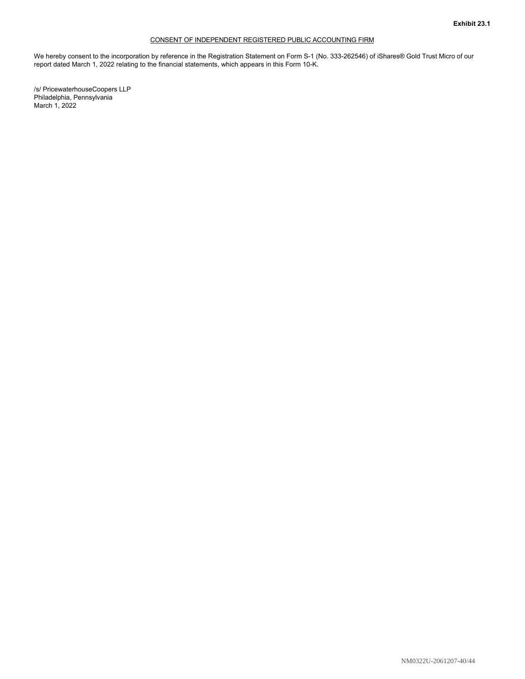# CONSENT OF INDEPENDENT REGISTERED PUBLIC ACCOUNTING FIRM

<span id="page-39-0"></span>We hereby consent to the incorporation by reference in the Registration Statement on Form S-1 (No. 333-262546) of iShares® Gold Trust Micro of our report dated March 1, 2022 relating to the financial statements, which appears in this Form 10-K.

/s/ PricewaterhouseCoopers LLP Philadelphia, Pennsylvania March 1, 2022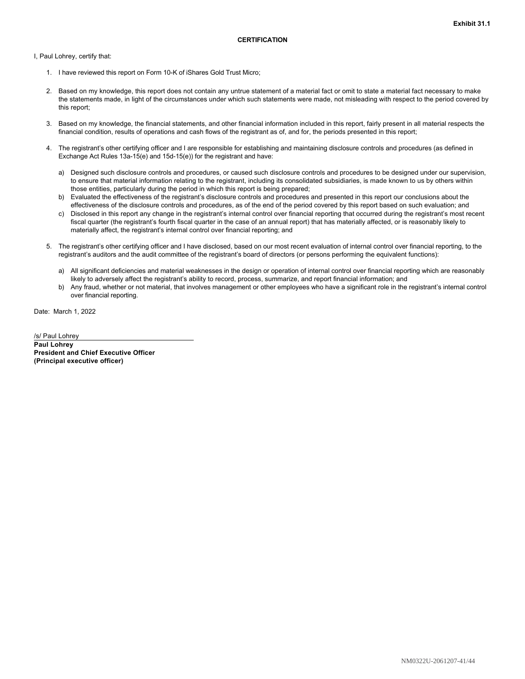<span id="page-40-0"></span>I, Paul Lohrey, certify that:

- 1. I have reviewed this report on Form 10-K of iShares Gold Trust Micro;
- 2. Based on my knowledge, this report does not contain any untrue statement of a material fact or omit to state a material fact necessary to make the statements made, in light of the circumstances under which such statements were made, not misleading with respect to the period covered by this report;
- 3. Based on my knowledge, the financial statements, and other financial information included in this report, fairly present in all material respects the financial condition, results of operations and cash flows of the registrant as of, and for, the periods presented in this report;
- 4. The registrant's other certifying officer and I are responsible for establishing and maintaining disclosure controls and procedures (as defined in Exchange Act Rules 13a-15(e) and 15d-15(e)) for the registrant and have:
	- a) Designed such disclosure controls and procedures, or caused such disclosure controls and procedures to be designed under our supervision, to ensure that material information relating to the registrant, including its consolidated subsidiaries, is made known to us by others within those entities, particularly during the period in which this report is being prepared;
	- b) Evaluated the effectiveness of the registrant's disclosure controls and procedures and presented in this report our conclusions about the effectiveness of the disclosure controls and procedures, as of the end of the period covered by this report based on such evaluation; and
	- c) Disclosed in this report any change in the registrant's internal control over financial reporting that occurred during the registrant's most recent fiscal quarter (the registrant's fourth fiscal quarter in the case of an annual report) that has materially affected, or is reasonably likely to materially affect, the registrant's internal control over financial reporting; and
- 5. The registrant's other certifying officer and I have disclosed, based on our most recent evaluation of internal control over financial reporting, to the registrant's auditors and the audit committee of the registrant's board of directors (or persons performing the equivalent functions):
	- a) All significant deficiencies and material weaknesses in the design or operation of internal control over financial reporting which are reasonably likely to adversely affect the registrant's ability to record, process, summarize, and report financial information; and
	- b) Any fraud, whether or not material, that involves management or other employees who have a significant role in the registrant's internal control over financial reporting.

Date: March 1, 2022

/s/ Paul Lohrey **Paul Lohrey President and Chief Executive Officer (Principal executive officer)**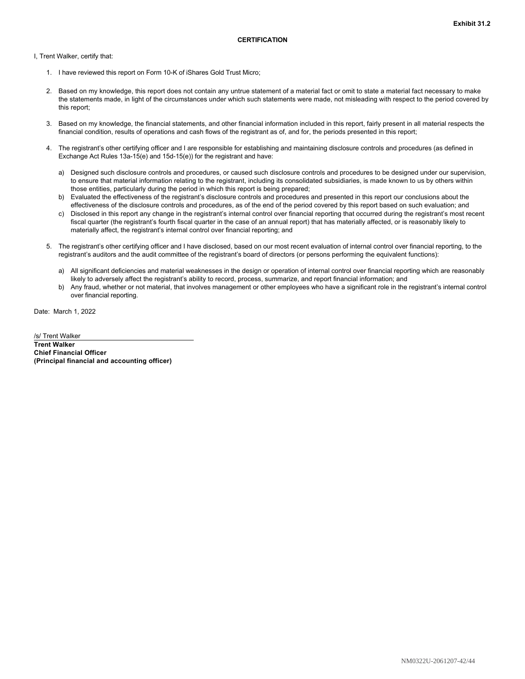<span id="page-41-0"></span>I, Trent Walker, certify that:

- 1. I have reviewed this report on Form 10-K of iShares Gold Trust Micro;
- 2. Based on my knowledge, this report does not contain any untrue statement of a material fact or omit to state a material fact necessary to make the statements made, in light of the circumstances under which such statements were made, not misleading with respect to the period covered by this report;
- 3. Based on my knowledge, the financial statements, and other financial information included in this report, fairly present in all material respects the financial condition, results of operations and cash flows of the registrant as of, and for, the periods presented in this report;
- 4. The registrant's other certifying officer and I are responsible for establishing and maintaining disclosure controls and procedures (as defined in Exchange Act Rules 13a-15(e) and 15d-15(e)) for the registrant and have:
	- a) Designed such disclosure controls and procedures, or caused such disclosure controls and procedures to be designed under our supervision, to ensure that material information relating to the registrant, including its consolidated subsidiaries, is made known to us by others within those entities, particularly during the period in which this report is being prepared;
	- b) Evaluated the effectiveness of the registrant's disclosure controls and procedures and presented in this report our conclusions about the effectiveness of the disclosure controls and procedures, as of the end of the period covered by this report based on such evaluation; and
	- c) Disclosed in this report any change in the registrant's internal control over financial reporting that occurred during the registrant's most recent fiscal quarter (the registrant's fourth fiscal quarter in the case of an annual report) that has materially affected, or is reasonably likely to materially affect, the registrant's internal control over financial reporting; and
- 5. The registrant's other certifying officer and I have disclosed, based on our most recent evaluation of internal control over financial reporting, to the registrant's auditors and the audit committee of the registrant's board of directors (or persons performing the equivalent functions):
	- a) All significant deficiencies and material weaknesses in the design or operation of internal control over financial reporting which are reasonably likely to adversely affect the registrant's ability to record, process, summarize, and report financial information; and
	- b) Any fraud, whether or not material, that involves management or other employees who have a significant role in the registrant's internal control over financial reporting.

Date: March 1, 2022

/s/ Trent Walker **Trent Walker Chief Financial Officer (Principal financial and accounting officer)**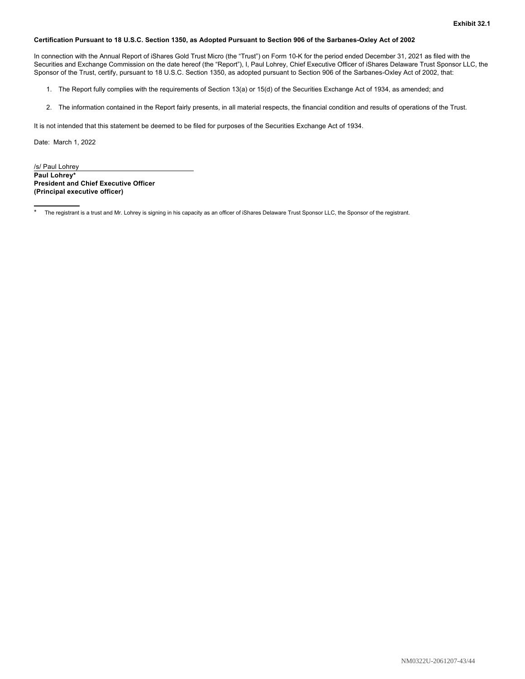#### <span id="page-42-0"></span>**Certification Pursuant to 18 U.S.C. Section 1350, as Adopted Pursuant to Section 906 of the Sarbanes-Oxley Act of 2002**

In connection with the Annual Report of iShares Gold Trust Micro (the "Trust") on Form 10-K for the period ended December 31, 2021 as filed with the Securities and Exchange Commission on the date hereof (the "Report"), I, Paul Lohrey, Chief Executive Officer of iShares Delaware Trust Sponsor LLC, the Sponsor of the Trust, certify, pursuant to 18 U.S.C. Section 1350, as adopted pursuant to Section 906 of the Sarbanes-Oxley Act of 2002, that:

- 1. The Report fully complies with the requirements of Section 13(a) or 15(d) of the Securities Exchange Act of 1934, as amended; and
- 2. The information contained in the Report fairly presents, in all material respects, the financial condition and results of operations of the Trust.

It is not intended that this statement be deemed to be filed for purposes of the Securities Exchange Act of 1934.

Date: March 1, 2022

/s/ Paul Lohrey **Paul Lohrey\* President and Chief Executive Officer (Principal executive officer)**

The registrant is a trust and Mr. Lohrey is signing in his capacity as an officer of iShares Delaware Trust Sponsor LLC, the Sponsor of the registrant.